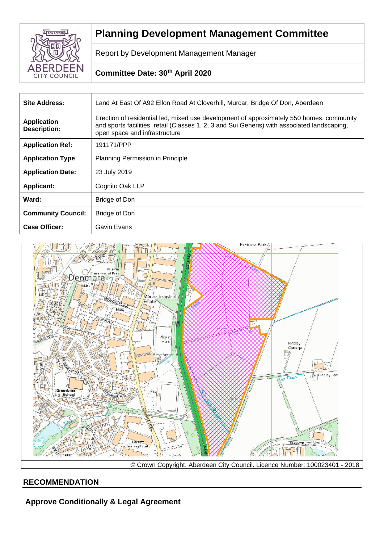

# **Planning Development Management Committee**

Report by Development Management Manager

# **Committee Date: 30th April 2020**

| <b>Site Address:</b>                      | Land At East Of A92 Ellon Road At Cloverhill, Murcar, Bridge Of Don, Aberdeen                                                                                                                                             |  |
|-------------------------------------------|---------------------------------------------------------------------------------------------------------------------------------------------------------------------------------------------------------------------------|--|
| <b>Application</b><br><b>Description:</b> | Erection of residential led, mixed use development of approximately 550 homes, community<br>and sports facilities, retail (Classes 1, 2, 3 and Sui Generis) with associated landscaping,<br>open space and infrastructure |  |
| <b>Application Ref:</b>                   | 191171/PPP                                                                                                                                                                                                                |  |
| <b>Application Type</b>                   | Planning Permission in Principle                                                                                                                                                                                          |  |
| <b>Application Date:</b>                  | 23 July 2019                                                                                                                                                                                                              |  |
| <b>Applicant:</b>                         | Cognito Oak LLP                                                                                                                                                                                                           |  |
| Ward:                                     | <b>Bridge of Don</b>                                                                                                                                                                                                      |  |
| <b>Community Council:</b>                 | <b>Bridge of Don</b>                                                                                                                                                                                                      |  |
| <b>Case Officer:</b>                      | Gavin Evans                                                                                                                                                                                                               |  |



© Crown Copyright. Aberdeen City Council. Licence Number: 100023401 - 2018

# **RECOMMENDATION**

**Approve Conditionally & Legal Agreement**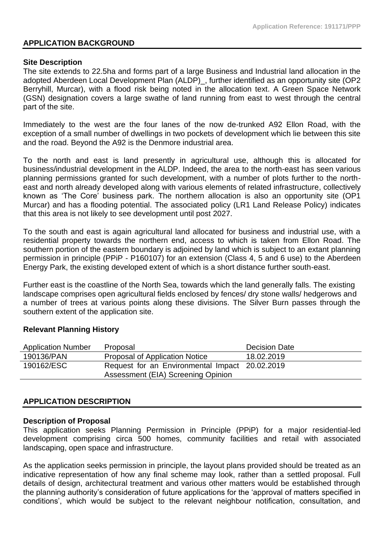### **APPLICATION BACKGROUND**

#### **Site Description**

The site extends to 22.5ha and forms part of a large Business and Industrial land allocation in the adopted Aberdeen Local Development Plan (ALDP)\_, further identified as an opportunity site (OP2 Berryhill, Murcar), with a flood risk being noted in the allocation text. A Green Space Network (GSN) designation covers a large swathe of land running from east to west through the central part of the site.

Immediately to the west are the four lanes of the now de-trunked A92 Ellon Road, with the exception of a small number of dwellings in two pockets of development which lie between this site and the road. Beyond the A92 is the Denmore industrial area.

To the north and east is land presently in agricultural use, although this is allocated for business/industrial development in the ALDP. Indeed, the area to the north-east has seen various planning permissions granted for such development, with a number of plots further to the northeast and north already developed along with various elements of related infrastructure, collectively known as 'The Core' business park. The northern allocation is also an opportunity site (OP1 Murcar) and has a flooding potential. The associated policy (LR1 Land Release Policy) indicates that this area is not likely to see development until post 2027.

To the south and east is again agricultural land allocated for business and industrial use, with a residential property towards the northern end, access to which is taken from Ellon Road. The southern portion of the eastern boundary is adjoined by land which is subject to an extant planning permission in principle (PPiP - P160107) for an extension (Class 4, 5 and 6 use) to the Aberdeen Energy Park, the existing developed extent of which is a short distance further south-east.

Further east is the coastline of the North Sea, towards which the land generally falls. The existing landscape comprises open agricultural fields enclosed by fences/ dry stone walls/ hedgerows and a number of trees at various points along these divisions. The Silver Burn passes through the southern extent of the application site.

#### **Relevant Planning History**

| <b>Application Number</b> | Proposal                                       | <b>Decision Date</b> |
|---------------------------|------------------------------------------------|----------------------|
| 190136/PAN                | Proposal of Application Notice                 | 18.02.2019           |
| 190162/ESC                | Request for an Environmental Impact 20.02.2019 |                      |
|                           | Assessment (EIA) Screening Opinion             |                      |

# **APPLICATION DESCRIPTION**

### **Description of Proposal**

This application seeks Planning Permission in Principle (PPiP) for a major residential-led development comprising circa 500 homes, community facilities and retail with associated landscaping, open space and infrastructure.

As the application seeks permission in principle, the layout plans provided should be treated as an indicative representation of how any final scheme may look, rather than a settled proposal. Full details of design, architectural treatment and various other matters would be established through the planning authority's consideration of future applications for the 'approval of matters specified in conditions', which would be subject to the relevant neighbour notification, consultation, and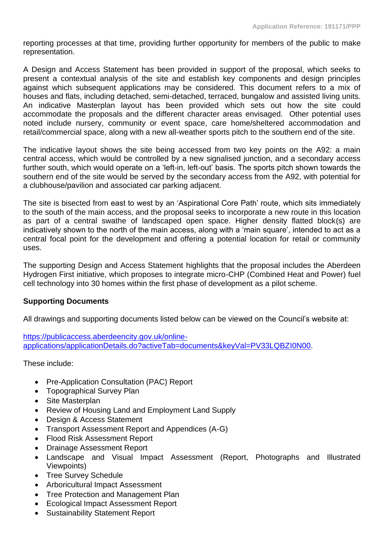reporting processes at that time, providing further opportunity for members of the public to make representation.

A Design and Access Statement has been provided in support of the proposal, which seeks to present a contextual analysis of the site and establish key components and design principles against which subsequent applications may be considered. This document refers to a mix of houses and flats, including detached, semi-detached, terraced, bungalow and assisted living units. An indicative Masterplan layout has been provided which sets out how the site could accommodate the proposals and the different character areas envisaged. Other potential uses noted include nursery, community or event space, care home/sheltered accommodation and retail/commercial space, along with a new all-weather sports pitch to the southern end of the site.

The indicative layout shows the site being accessed from two key points on the A92: a main central access, which would be controlled by a new signalised junction, and a secondary access further south, which would operate on a 'left-in, left-out' basis. The sports pitch shown towards the southern end of the site would be served by the secondary access from the A92, with potential for a clubhouse/pavilion and associated car parking adjacent.

The site is bisected from east to west by an 'Aspirational Core Path' route, which sits immediately to the south of the main access, and the proposal seeks to incorporate a new route in this location as part of a central swathe of landscaped open space. Higher density flatted block(s) are indicatively shown to the north of the main access, along with a 'main square', intended to act as a central focal point for the development and offering a potential location for retail or community uses.

The supporting Design and Access Statement highlights that the proposal includes the Aberdeen Hydrogen First initiative, which proposes to integrate micro-CHP (Combined Heat and Power) fuel cell technology into 30 homes within the first phase of development as a pilot scheme.

# **Supporting Documents**

All drawings and supporting documents listed below can be viewed on the Council's website at:

[https://publicaccess.aberdeencity.gov.uk/online](https://publicaccess.aberdeencity.gov.uk/online-applications/applicationDetails.do?activeTab=documents&keyVal=PV33LQBZI0N00)[applications/applicationDetails.do?activeTab=documents&keyVal=PV33LQBZI0N00.](https://publicaccess.aberdeencity.gov.uk/online-applications/applicationDetails.do?activeTab=documents&keyVal=PV33LQBZI0N00)

These include:

- Pre-Application Consultation (PAC) Report
- Topographical Survey Plan
- Site Masterplan
- Review of Housing Land and Employment Land Supply
- Design & Access Statement
- Transport Assessment Report and Appendices (A-G)
- Flood Risk Assessment Report
- Drainage Assessment Report
- Landscape and Visual Impact Assessment (Report, Photographs and Illustrated Viewpoints)
- Tree Survey Schedule
- Arboricultural Impact Assessment
- Tree Protection and Management Plan
- Ecological Impact Assessment Report
- Sustainability Statement Report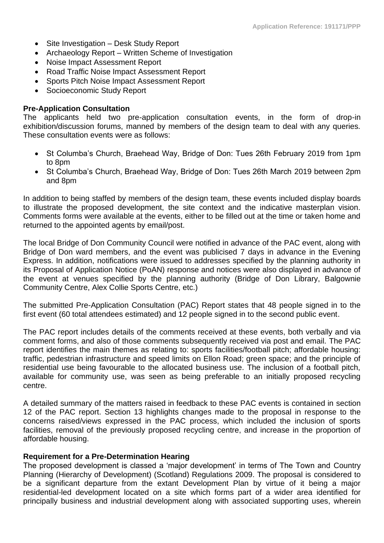- Site Investigation Desk Study Report
- Archaeology Report Written Scheme of Investigation
- Noise Impact Assessment Report
- Road Traffic Noise Impact Assessment Report
- Sports Pitch Noise Impact Assessment Report
- Socioeconomic Study Report

### **Pre-Application Consultation**

The applicants held two pre-application consultation events, in the form of drop-in exhibition/discussion forums, manned by members of the design team to deal with any queries. These consultation events were as follows:

- St Columba's Church, Braehead Way, Bridge of Don: Tues 26th February 2019 from 1pm to 8pm
- St Columba's Church, Braehead Way, Bridge of Don: Tues 26th March 2019 between 2pm and 8pm

In addition to being staffed by members of the design team, these events included display boards to illustrate the proposed development, the site context and the indicative masterplan vision. Comments forms were available at the events, either to be filled out at the time or taken home and returned to the appointed agents by email/post.

The local Bridge of Don Community Council were notified in advance of the PAC event, along with Bridge of Don ward members, and the event was publicised 7 days in advance in the Evening Express. In addition, notifications were issued to addresses specified by the planning authority in its Proposal of Application Notice (PoAN) response and notices were also displayed in advance of the event at venues specified by the planning authority (Bridge of Don Library, Balgownie Community Centre, Alex Collie Sports Centre, etc.)

The submitted Pre-Application Consultation (PAC) Report states that 48 people signed in to the first event (60 total attendees estimated) and 12 people signed in to the second public event.

The PAC report includes details of the comments received at these events, both verbally and via comment forms, and also of those comments subsequently received via post and email. The PAC report identifies the main themes as relating to: sports facilities/football pitch; affordable housing: traffic, pedestrian infrastructure and speed limits on Ellon Road; green space; and the principle of residential use being favourable to the allocated business use. The inclusion of a football pitch, available for community use, was seen as being preferable to an initially proposed recycling centre.

A detailed summary of the matters raised in feedback to these PAC events is contained in section 12 of the PAC report. Section 13 highlights changes made to the proposal in response to the concerns raised/views expressed in the PAC process, which included the inclusion of sports facilities, removal of the previously proposed recycling centre, and increase in the proportion of affordable housing.

### **Requirement for a Pre-Determination Hearing**

The proposed development is classed a 'major development' in terms of The Town and Country Planning (Hierarchy of Development) (Scotland) Regulations 2009. The proposal is considered to be a significant departure from the extant Development Plan by virtue of it being a major residential-led development located on a site which forms part of a wider area identified for principally business and industrial development along with associated supporting uses, wherein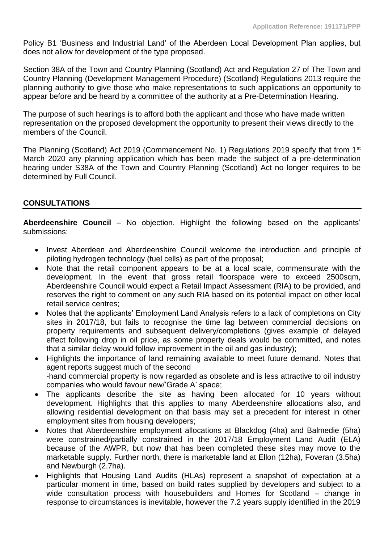Policy B1 'Business and Industrial Land' of the Aberdeen Local Development Plan applies, but does not allow for development of the type proposed.

Section 38A of the Town and Country Planning (Scotland) Act and Regulation 27 of The Town and Country Planning (Development Management Procedure) (Scotland) Regulations 2013 require the planning authority to give those who make representations to such applications an opportunity to appear before and be heard by a committee of the authority at a Pre-Determination Hearing.

The purpose of such hearings is to afford both the applicant and those who have made written representation on the proposed development the opportunity to present their views directly to the members of the Council.

The Planning (Scotland) Act 2019 (Commencement No. 1) Regulations 2019 specify that from 1<sup>st</sup> March 2020 any planning application which has been made the subject of a pre-determination hearing under S38A of the Town and Country Planning (Scotland) Act no longer requires to be determined by Full Council.

# **CONSULTATIONS**

**Aberdeenshire Council** – No objection. Highlight the following based on the applicants' submissions:

- Invest Aberdeen and Aberdeenshire Council welcome the introduction and principle of piloting hydrogen technology (fuel cells) as part of the proposal;
- Note that the retail component appears to be at a local scale, commensurate with the development. In the event that gross retail floorspace were to exceed 2500sqm, Aberdeenshire Council would expect a Retail Impact Assessment (RIA) to be provided, and reserves the right to comment on any such RIA based on its potential impact on other local retail service centres;
- Notes that the applicants' Employment Land Analysis refers to a lack of completions on City sites in 2017/18, but fails to recognise the time lag between commercial decisions on property requirements and subsequent delivery/completions (gives example of delayed effect following drop in oil price, as some property deals would be committed, and notes that a similar delay would follow improvement in the oil and gas industry);
- Highlights the importance of land remaining available to meet future demand. Notes that agent reports suggest much of the second -hand commercial property is now regarded as obsolete and is less attractive to oil industry companies who would favour new/'Grade A' space;
- The applicants describe the site as having been allocated for 10 years without development. Highlights that this applies to many Aberdeenshire allocations also, and allowing residential development on that basis may set a precedent for interest in other employment sites from housing developers;
- Notes that Aberdeenshire employment allocations at Blackdog (4ha) and Balmedie (5ha) were constrained/partially constrained in the 2017/18 Employment Land Audit (ELA) because of the AWPR, but now that has been completed these sites may move to the marketable supply. Further north, there is marketable land at Ellon (12ha), Foveran (3.5ha) and Newburgh (2.7ha).
- Highlights that Housing Land Audits (HLAs) represent a snapshot of expectation at a particular moment in time, based on build rates supplied by developers and subject to a wide consultation process with housebuilders and Homes for Scotland – change in response to circumstances is inevitable, however the 7.2 years supply identified in the 2019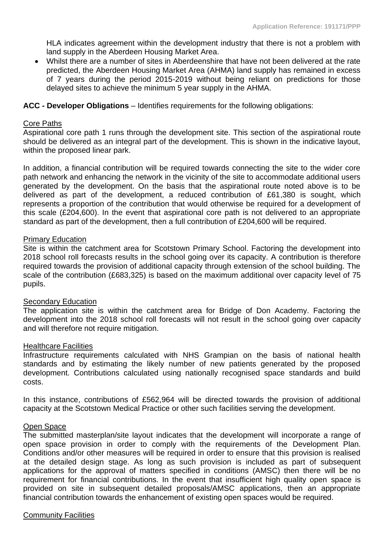HLA indicates agreement within the development industry that there is not a problem with land supply in the Aberdeen Housing Market Area.

• Whilst there are a number of sites in Aberdeenshire that have not been delivered at the rate predicted, the Aberdeen Housing Market Area (AHMA) land supply has remained in excess of 7 years during the period 2015-2019 without being reliant on predictions for those delayed sites to achieve the minimum 5 year supply in the AHMA.

#### **ACC - Developer Obligations** – Identifies requirements for the following obligations:

#### Core Paths

Aspirational core path 1 runs through the development site. This section of the aspirational route should be delivered as an integral part of the development. This is shown in the indicative layout, within the proposed linear park.

In addition, a financial contribution will be required towards connecting the site to the wider core path network and enhancing the network in the vicinity of the site to accommodate additional users generated by the development. On the basis that the aspirational route noted above is to be delivered as part of the development, a reduced contribution of £61,380 is sought, which represents a proportion of the contribution that would otherwise be required for a development of this scale (£204,600). In the event that aspirational core path is not delivered to an appropriate standard as part of the development, then a full contribution of £204,600 will be required.

#### Primary Education

Site is within the catchment area for Scotstown Primary School. Factoring the development into 2018 school roll forecasts results in the school going over its capacity. A contribution is therefore required towards the provision of additional capacity through extension of the school building. The scale of the contribution (£683,325) is based on the maximum additional over capacity level of 75 pupils.

#### Secondary Education

The application site is within the catchment area for Bridge of Don Academy. Factoring the development into the 2018 school roll forecasts will not result in the school going over capacity and will therefore not require mitigation.

#### Healthcare Facilities

Infrastructure requirements calculated with NHS Grampian on the basis of national health standards and by estimating the likely number of new patients generated by the proposed development. Contributions calculated using nationally recognised space standards and build costs.

In this instance, contributions of £562,964 will be directed towards the provision of additional capacity at the Scotstown Medical Practice or other such facilities serving the development.

#### Open Space

The submitted masterplan/site layout indicates that the development will incorporate a range of open space provision in order to comply with the requirements of the Development Plan. Conditions and/or other measures will be required in order to ensure that this provision is realised at the detailed design stage. As long as such provision is included as part of subsequent applications for the approval of matters specified in conditions (AMSC) then there will be no requirement for financial contributions. In the event that insufficient high quality open space is provided on site in subsequent detailed proposals/AMSC applications, then an appropriate financial contribution towards the enhancement of existing open spaces would be required.

#### Community Facilities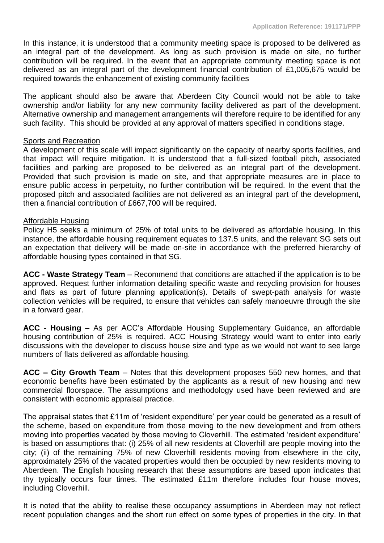In this instance, it is understood that a community meeting space is proposed to be delivered as an integral part of the development. As long as such provision is made on site, no further contribution will be required. In the event that an appropriate community meeting space is not delivered as an integral part of the development financial contribution of £1,005,675 would be required towards the enhancement of existing community facilities

The applicant should also be aware that Aberdeen City Council would not be able to take ownership and/or liability for any new community facility delivered as part of the development. Alternative ownership and management arrangements will therefore require to be identified for any such facility. This should be provided at any approval of matters specified in conditions stage.

### **Sports and Recreation**

A development of this scale will impact significantly on the capacity of nearby sports facilities, and that impact will require mitigation. It is understood that a full-sized football pitch, associated facilities and parking are proposed to be delivered as an integral part of the development. Provided that such provision is made on site, and that appropriate measures are in place to ensure public access in perpetuity, no further contribution will be required. In the event that the proposed pitch and associated facilities are not delivered as an integral part of the development, then a financial contribution of £667,700 will be required.

#### Affordable Housing

Policy H5 seeks a minimum of 25% of total units to be delivered as affordable housing. In this instance, the affordable housing requirement equates to 137.5 units, and the relevant SG sets out an expectation that delivery will be made on-site in accordance with the preferred hierarchy of affordable housing types contained in that SG.

**ACC - Waste Strategy Team** – Recommend that conditions are attached if the application is to be approved. Request further information detailing specific waste and recycling provision for houses and flats as part of future planning application(s). Details of swept-path analysis for waste collection vehicles will be required, to ensure that vehicles can safely manoeuvre through the site in a forward gear.

**ACC - Housing** – As per ACC's Affordable Housing Supplementary Guidance, an affordable housing contribution of 25% is required. ACC Housing Strategy would want to enter into early discussions with the developer to discuss house size and type as we would not want to see large numbers of flats delivered as affordable housing.

**ACC – City Growth Team** – Notes that this development proposes 550 new homes, and that economic benefits have been estimated by the applicants as a result of new housing and new commercial floorspace. The assumptions and methodology used have been reviewed and are consistent with economic appraisal practice.

The appraisal states that £11m of 'resident expenditure' per year could be generated as a result of the scheme, based on expenditure from those moving to the new development and from others moving into properties vacated by those moving to Cloverhill. The estimated 'resident expenditure' is based on assumptions that: (i) 25% of all new residents at Cloverhill are people moving into the city; (ii) of the remaining 75% of new Cloverhill residents moving from elsewhere in the city, approximately 25% of the vacated properties would then be occupied by new residents moving to Aberdeen. The English housing research that these assumptions are based upon indicates that thy typically occurs four times. The estimated £11m therefore includes four house moves, including Cloverhill.

It is noted that the ability to realise these occupancy assumptions in Aberdeen may not reflect recent population changes and the short run effect on some types of properties in the city. In that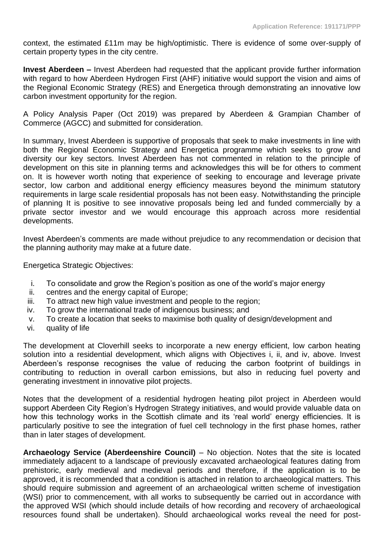context, the estimated £11m may be high/optimistic. There is evidence of some over-supply of certain property types in the city centre.

**Invest Aberdeen –** Invest Aberdeen had requested that the applicant provide further information with regard to how Aberdeen Hydrogen First (AHF) initiative would support the vision and aims of the Regional Economic Strategy (RES) and Energetica through demonstrating an innovative low carbon investment opportunity for the region.

A Policy Analysis Paper (Oct 2019) was prepared by Aberdeen & Grampian Chamber of Commerce (AGCC) and submitted for consideration.

In summary, Invest Aberdeen is supportive of proposals that seek to make investments in line with both the Regional Economic Strategy and Energetica programme which seeks to grow and diversity our key sectors. Invest Aberdeen has not commented in relation to the principle of development on this site in planning terms and acknowledges this will be for others to comment on. It is however worth noting that experience of seeking to encourage and leverage private sector, low carbon and additional energy efficiency measures beyond the minimum statutory requirements in large scale residential proposals has not been easy. Notwithstanding the principle of planning It is positive to see innovative proposals being led and funded commercially by a private sector investor and we would encourage this approach across more residential developments.

Invest Aberdeen's comments are made without prejudice to any recommendation or decision that the planning authority may make at a future date.

Energetica Strategic Objectives:

- i. To consolidate and grow the Region's position as one of the world's major energy
- ii. centres and the energy capital of Europe;
- iii. To attract new high value investment and people to the region:
- iv. To grow the international trade of indigenous business; and
- v. To create a location that seeks to maximise both quality of design/development and
- vi. quality of life

The development at Cloverhill seeks to incorporate a new energy efficient, low carbon heating solution into a residential development, which aligns with Objectives i, ii, and iv, above. Invest Aberdeen's response recognises the value of reducing the carbon footprint of buildings in contributing to reduction in overall carbon emissions, but also in reducing fuel poverty and generating investment in innovative pilot projects.

Notes that the development of a residential hydrogen heating pilot project in Aberdeen would support Aberdeen City Region's Hydrogen Strategy initiatives, and would provide valuable data on how this technology works in the Scottish climate and its 'real world' energy efficiencies. It is particularly positive to see the integration of fuel cell technology in the first phase homes, rather than in later stages of development.

**Archaeology Service (Aberdeenshire Council)** – No objection. Notes that the site is located immediately adjacent to a landscape of previously excavated archaeological features dating from prehistoric, early medieval and medieval periods and therefore, if the application is to be approved, it is recommended that a condition is attached in relation to archaeological matters. This should require submission and agreement of an archaeological written scheme of investigation (WSI) prior to commencement, with all works to subsequently be carried out in accordance with the approved WSI (which should include details of how recording and recovery of archaeological resources found shall be undertaken). Should archaeological works reveal the need for post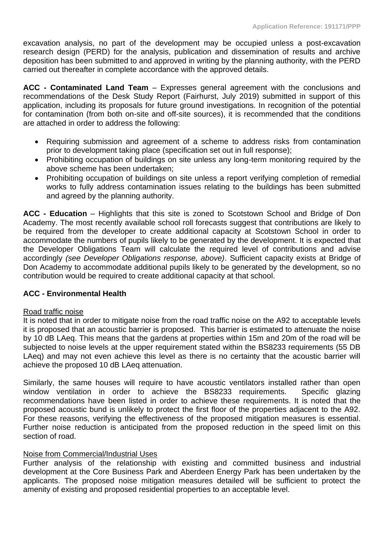excavation analysis, no part of the development may be occupied unless a post-excavation research design (PERD) for the analysis, publication and dissemination of results and archive deposition has been submitted to and approved in writing by the planning authority, with the PERD carried out thereafter in complete accordance with the approved details.

**ACC - Contaminated Land Team** – Expresses general agreement with the conclusions and recommendations of the Desk Study Report (Fairhurst, July 2019) submitted in support of this application, including its proposals for future ground investigations. In recognition of the potential for contamination (from both on-site and off-site sources), it is recommended that the conditions are attached in order to address the following:

- Requiring submission and agreement of a scheme to address risks from contamination prior to development taking place (specification set out in full response);
- Prohibiting occupation of buildings on site unless any long-term monitoring required by the above scheme has been undertaken;
- Prohibiting occupation of buildings on site unless a report verifying completion of remedial works to fully address contamination issues relating to the buildings has been submitted and agreed by the planning authority.

**ACC - Education** – Highlights that this site is zoned to Scotstown School and Bridge of Don Academy. The most recently available school roll forecasts suggest that contributions are likely to be required from the developer to create additional capacity at Scotstown School in order to accommodate the numbers of pupils likely to be generated by the development. It is expected that the Developer Obligations Team will calculate the required level of contributions and advise accordingly *(see Developer Obligations response, above)*. Sufficient capacity exists at Bridge of Don Academy to accommodate additional pupils likely to be generated by the development, so no contribution would be required to create additional capacity at that school.

# **ACC - Environmental Health**

#### Road traffic noise

It is noted that in order to mitigate noise from the road traffic noise on the A92 to acceptable levels it is proposed that an acoustic barrier is proposed. This barrier is estimated to attenuate the noise by 10 dB LAeq. This means that the gardens at properties within 15m and 20m of the road will be subjected to noise levels at the upper requirement stated within the BS8233 requirements (55 DB LAeq) and may not even achieve this level as there is no certainty that the acoustic barrier will achieve the proposed 10 dB LAeq attenuation.

Similarly, the same houses will require to have acoustic ventilators installed rather than open window ventilation in order to achieve the BS8233 requirements. Specific glazing recommendations have been listed in order to achieve these requirements. It is noted that the proposed acoustic bund is unlikely to protect the first floor of the properties adjacent to the A92. For these reasons, verifying the effectiveness of the proposed mitigation measures is essential. Further noise reduction is anticipated from the proposed reduction in the speed limit on this section of road.

#### Noise from Commercial/Industrial Uses

Further analysis of the relationship with existing and committed business and industrial development at the Core Business Park and Aberdeen Energy Park has been undertaken by the applicants. The proposed noise mitigation measures detailed will be sufficient to protect the amenity of existing and proposed residential properties to an acceptable level.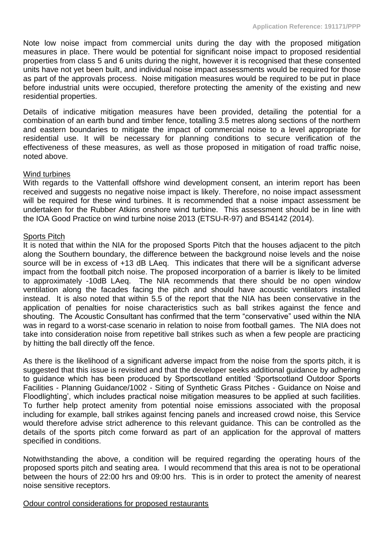Note low noise impact from commercial units during the day with the proposed mitigation measures in place. There would be potential for significant noise impact to proposed residential properties from class 5 and 6 units during the night, however it is recognised that these consented units have not yet been built, and individual noise impact assessments would be required for those as part of the approvals process. Noise mitigation measures would be required to be put in place before industrial units were occupied, therefore protecting the amenity of the existing and new residential properties.

Details of indicative mitigation measures have been provided, detailing the potential for a combination of an earth bund and timber fence, totalling 3.5 metres along sections of the northern and eastern boundaries to mitigate the impact of commercial noise to a level appropriate for residential use. It will be necessary for planning conditions to secure verification of the effectiveness of these measures, as well as those proposed in mitigation of road traffic noise, noted above.

#### Wind turbines

With regards to the Vattenfall offshore wind development consent, an interim report has been received and suggests no negative noise impact is likely. Therefore, no noise impact assessment will be required for these wind turbines. It is recommended that a noise impact assessment be undertaken for the Rubber Atkins onshore wind turbine. This assessment should be in line with the IOA Good Practice on wind turbine noise 2013 (ETSU-R-97) and BS4142 (2014).

### Sports Pitch

It is noted that within the NIA for the proposed Sports Pitch that the houses adjacent to the pitch along the Southern boundary, the difference between the background noise levels and the noise source will be in excess of +13 dB LAeq. This indicates that there will be a significant adverse impact from the football pitch noise. The proposed incorporation of a barrier is likely to be limited to approximately -10dB LAeq. The NIA recommends that there should be no open window ventilation along the facades facing the pitch and should have acoustic ventilators installed instead. It is also noted that within 5.5 of the report that the NIA has been conservative in the application of penalties for noise characteristics such as ball strikes against the fence and shouting. The Acoustic Consultant has confirmed that the term "conservative" used within the NIA was in regard to a worst-case scenario in relation to noise from football games. The NIA does not take into consideration noise from repetitive ball strikes such as when a few people are practicing by hitting the ball directly off the fence.

As there is the likelihood of a significant adverse impact from the noise from the sports pitch, it is suggested that this issue is revisited and that the developer seeks additional guidance by adhering to guidance which has been produced by Sportscotland entitled 'Sportscotland Outdoor Sports Facilities - Planning Guidance/1002 - Siting of Synthetic Grass Pitches - Guidance on Noise and Floodlighting', which includes practical noise mitigation measures to be applied at such facilities. To further help protect amenity from potential noise emissions associated with the proposal including for example, ball strikes against fencing panels and increased crowd noise, this Service would therefore advise strict adherence to this relevant guidance. This can be controlled as the details of the sports pitch come forward as part of an application for the approval of matters specified in conditions.

Notwithstanding the above, a condition will be required regarding the operating hours of the proposed sports pitch and seating area. I would recommend that this area is not to be operational between the hours of 22:00 hrs and 09:00 hrs. This is in order to protect the amenity of nearest noise sensitive receptors.

#### Odour control considerations for proposed restaurants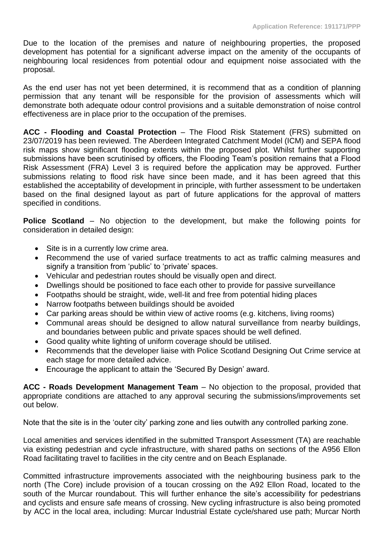Due to the location of the premises and nature of neighbouring properties, the proposed development has potential for a significant adverse impact on the amenity of the occupants of neighbouring local residences from potential odour and equipment noise associated with the proposal.

As the end user has not yet been determined, it is recommend that as a condition of planning permission that any tenant will be responsible for the provision of assessments which will demonstrate both adequate odour control provisions and a suitable demonstration of noise control effectiveness are in place prior to the occupation of the premises.

**ACC - Flooding and Coastal Protection** – The Flood Risk Statement (FRS) submitted on 23/07/2019 has been reviewed. The Aberdeen Integrated Catchment Model (ICM) and SEPA flood risk maps show significant flooding extents within the proposed plot. Whilst further supporting submissions have been scrutinised by officers, the Flooding Team's position remains that a Flood Risk Assessment (FRA) Level 3 is required before the application may be approved. Further submissions relating to flood risk have since been made, and it has been agreed that this established the acceptability of development in principle, with further assessment to be undertaken based on the final designed layout as part of future applications for the approval of matters specified in conditions.

**Police Scotland** – No objection to the development, but make the following points for consideration in detailed design:

- Site is in a currently low crime area.
- Recommend the use of varied surface treatments to act as traffic calming measures and signify a transition from 'public' to 'private' spaces.
- Vehicular and pedestrian routes should be visually open and direct.
- Dwellings should be positioned to face each other to provide for passive surveillance
- Footpaths should be straight, wide, well-lit and free from potential hiding places
- Narrow footpaths between buildings should be avoided
- Car parking areas should be within view of active rooms (e.g. kitchens, living rooms)
- Communal areas should be designed to allow natural surveillance from nearby buildings, and boundaries between public and private spaces should be well defined.
- Good quality white lighting of uniform coverage should be utilised.
- Recommends that the developer liaise with Police Scotland Designing Out Crime service at each stage for more detailed advice.
- Encourage the applicant to attain the 'Secured By Design' award.

**ACC - Roads Development Management Team** – No objection to the proposal, provided that appropriate conditions are attached to any approval securing the submissions/improvements set out below.

Note that the site is in the 'outer city' parking zone and lies outwith any controlled parking zone.

Local amenities and services identified in the submitted Transport Assessment (TA) are reachable via existing pedestrian and cycle infrastructure, with shared paths on sections of the A956 Ellon Road facilitating travel to facilities in the city centre and on Beach Esplanade.

Committed infrastructure improvements associated with the neighbouring business park to the north (The Core) include provision of a toucan crossing on the A92 Ellon Road, located to the south of the Murcar roundabout. This will further enhance the site's accessibility for pedestrians and cyclists and ensure safe means of crossing. New cycling infrastructure is also being promoted by ACC in the local area, including: Murcar Industrial Estate cycle/shared use path; Murcar North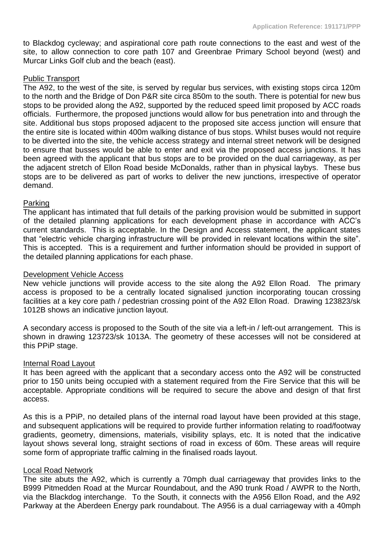to Blackdog cycleway; and aspirational core path route connections to the east and west of the site, to allow connection to core path 107 and Greenbrae Primary School beyond (west) and Murcar Links Golf club and the beach (east).

### Public Transport

The A92, to the west of the site, is served by regular bus services, with existing stops circa 120m to the north and the Bridge of Don P&R site circa 850m to the south. There is potential for new bus stops to be provided along the A92, supported by the reduced speed limit proposed by ACC roads officials. Furthermore, the proposed junctions would allow for bus penetration into and through the site. Additional bus stops proposed adjacent to the proposed site access junction will ensure that the entire site is located within 400m walking distance of bus stops. Whilst buses would not require to be diverted into the site, the vehicle access strategy and internal street network will be designed to ensure that busses would be able to enter and exit via the proposed access junctions. It has been agreed with the applicant that bus stops are to be provided on the dual carriageway, as per the adjacent stretch of Ellon Road beside McDonalds, rather than in physical laybys. These bus stops are to be delivered as part of works to deliver the new junctions, irrespective of operator demand.

### Parking

The applicant has intimated that full details of the parking provision would be submitted in support of the detailed planning applications for each development phase in accordance with ACC's current standards. This is acceptable. In the Design and Access statement, the applicant states that "electric vehicle charging infrastructure will be provided in relevant locations within the site". This is accepted. This is a requirement and further information should be provided in support of the detailed planning applications for each phase.

#### Development Vehicle Access

New vehicle junctions will provide access to the site along the A92 Ellon Road. The primary access is proposed to be a centrally located signalised junction incorporating toucan crossing facilities at a key core path / pedestrian crossing point of the A92 Ellon Road. Drawing 123823/sk 1012B shows an indicative junction layout.

A secondary access is proposed to the South of the site via a left-in / left-out arrangement. This is shown in drawing 123723/sk 1013A. The geometry of these accesses will not be considered at this PPiP stage.

#### Internal Road Layout

It has been agreed with the applicant that a secondary access onto the A92 will be constructed prior to 150 units being occupied with a statement required from the Fire Service that this will be acceptable. Appropriate conditions will be required to secure the above and design of that first access.

As this is a PPiP, no detailed plans of the internal road layout have been provided at this stage, and subsequent applications will be required to provide further information relating to road/footway gradients, geometry, dimensions, materials, visibility splays, etc. It is noted that the indicative layout shows several long, straight sections of road in excess of 60m. These areas will require some form of appropriate traffic calming in the finalised roads layout.

#### Local Road Network

The site abuts the A92, which is currently a 70mph dual carriageway that provides links to the B999 Pitmedden Road at the Murcar Roundabout, and the A90 trunk Road / AWPR to the North, via the Blackdog interchange. To the South, it connects with the A956 Ellon Road, and the A92 Parkway at the Aberdeen Energy park roundabout. The A956 is a dual carriageway with a 40mph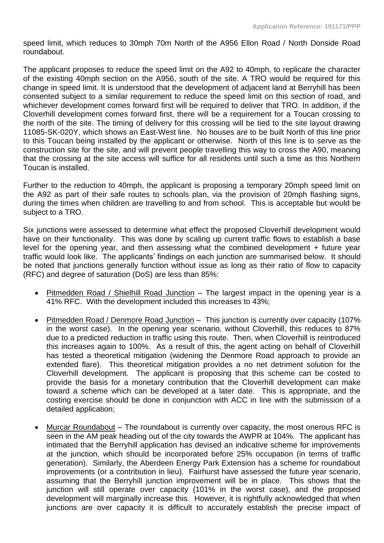speed limit, which reduces to 30mph 70m North of the A956 Ellon Road / North Donside Road roundabout.

The applicant proposes to reduce the speed limit on the A92 to 40mph, to replicate the character of the existing 40mph section on the A956, south of the site. A TRO would be required for this change in speed limit. It is understood that the development of adjacent land at Berryhill has been consented subject to a similar requirement to reduce the speed limit on this section of road, and whichever development comes forward first will be required to deliver that TRO. In addition, if the Cloverhill development comes forward first, there will be a requirement for a Toucan crossing to the north of the site. The timing of delivery for this crossing will be tied to the site layout drawing 11085-SK-020Y, which shows an East-West line. No houses are to be built North of this line prior to this Toucan being installed by the applicant or otherwise. North of this line is to serve as the construction site for the site, and will prevent people travelling this way to cross the A90, meaning that the crossing at the site access will suffice for all residents until such a time as this Northern Toucan is installed.

Further to the reduction to 40mph, the applicant is proposing a temporary 20mph speed limit on the A92 as part of their safe routes to schools plan, via the provision of 20mph flashing signs, during the times when children are travelling to and from school. This is acceptable but would be subject to a TRO.

Six junctions were assessed to determine what effect the proposed Cloverhill development would have on their functionality. This was done by scaling up current traffic flows to establish a base level for the opening year, and then assessing what the combined development + future year traffic would look like. The applicants' findings on each junction are summarised below. It should be noted that junctions generally function without issue as long as their ratio of flow to capacity (RFC) and degree of saturation (DoS) are less than 85%:

- Pitmedden Road / Shielhill Road Junction The largest impact in the opening year is a 41% RFC. With the development included this increases to 43%;
- Pitmedden Road / Denmore Road Junction This junction is currently over capacity (107% in the worst case). In the opening year scenario, without Cloverhill, this reduces to 87% due to a predicted reduction in traffic using this route. Then, when Cloverhill is reintroduced this increases again to 100%. As a result of this, the agent acting on behalf of Cloverhill has tested a theoretical mitigation (widening the Denmore Road approach to provide an extended flare). This theoretical mitigation provides a no net detriment solution for the Cloverhill development. The applicant is proposing that this scheme can be costed to provide the basis for a monetary contribution that the Cloverhill development can make toward a scheme which can be developed at a later date. This is appropriate, and the costing exercise should be done in conjunction with ACC in line with the submission of a detailed application;
- Murcar Roundabout The roundabout is currently over capacity, the most onerous RFC is seen in the AM peak heading out of the city towards the AWPR at 104%. The applicant has intimated that the Berryhill application has devised an indicative scheme for improvements at the junction, which should be incorporated before 25% occupation (in terms of traffic generation). Similarly, the Aberdeen Energy Park Extension has a scheme for roundabout improvements (or a contribution in lieu). Fairhurst have assessed the future year scenario, assuming that the Berryhill junction improvement will be in place. This shows that the junction will still operate over capacity (101% in the worst case), and the proposed development will marginally increase this. However, it is rightfully acknowledged that when junctions are over capacity it is difficult to accurately establish the precise impact of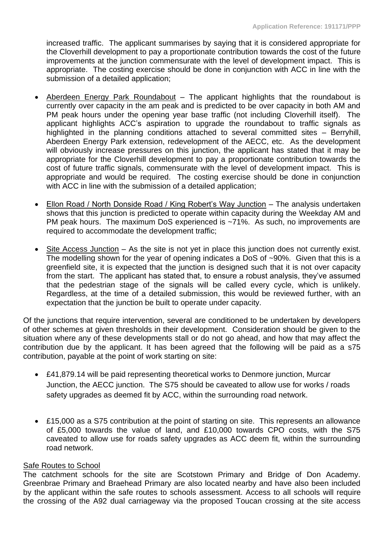increased traffic. The applicant summarises by saying that it is considered appropriate for the Cloverhill development to pay a proportionate contribution towards the cost of the future improvements at the junction commensurate with the level of development impact. This is appropriate. The costing exercise should be done in conjunction with ACC in line with the submission of a detailed application;

- Aberdeen Energy Park Roundabout The applicant highlights that the roundabout is currently over capacity in the am peak and is predicted to be over capacity in both AM and PM peak hours under the opening year base traffic (not including Cloverhill itself). The applicant highlights ACC's aspiration to upgrade the roundabout to traffic signals as highlighted in the planning conditions attached to several committed sites – Berryhill, Aberdeen Energy Park extension, redevelopment of the AECC, etc. As the development will obviously increase pressures on this junction, the applicant has stated that it may be appropriate for the Cloverhill development to pay a proportionate contribution towards the cost of future traffic signals, commensurate with the level of development impact. This is appropriate and would be required. The costing exercise should be done in conjunction with ACC in line with the submission of a detailed application;
- Ellon Road / North Donside Road / King Robert's Way Junction The analysis undertaken shows that this junction is predicted to operate within capacity during the Weekday AM and PM peak hours. The maximum DoS experienced is ~71%. As such, no improvements are required to accommodate the development traffic;
- Site Access Junction As the site is not yet in place this junction does not currently exist. The modelling shown for the year of opening indicates a DoS of ~90%. Given that this is a greenfield site, it is expected that the junction is designed such that it is not over capacity from the start. The applicant has stated that, to ensure a robust analysis, they've assumed that the pedestrian stage of the signals will be called every cycle, which is unlikely. Regardless, at the time of a detailed submission, this would be reviewed further, with an expectation that the junction be built to operate under capacity.

Of the junctions that require intervention, several are conditioned to be undertaken by developers of other schemes at given thresholds in their development. Consideration should be given to the situation where any of these developments stall or do not go ahead, and how that may affect the contribution due by the applicant. It has been agreed that the following will be paid as a s75 contribution, payable at the point of work starting on site:

- £41,879.14 will be paid representing theoretical works to Denmore junction, Murcar Junction, the AECC junction. The S75 should be caveated to allow use for works / roads safety upgrades as deemed fit by ACC, within the surrounding road network.
- £15,000 as a S75 contribution at the point of starting on site. This represents an allowance of £5,000 towards the value of land, and £10,000 towards CPO costs, with the S75 caveated to allow use for roads safety upgrades as ACC deem fit, within the surrounding road network.

# Safe Routes to School

The catchment schools for the site are Scotstown Primary and Bridge of Don Academy. Greenbrae Primary and Braehead Primary are also located nearby and have also been included by the applicant within the safe routes to schools assessment. Access to all schools will require the crossing of the A92 dual carriageway via the proposed Toucan crossing at the site access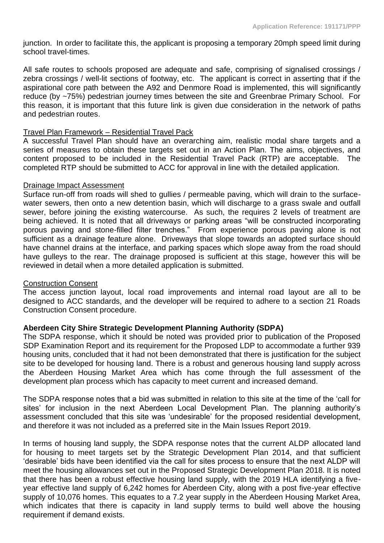junction. In order to facilitate this, the applicant is proposing a temporary 20mph speed limit during school travel-times.

All safe routes to schools proposed are adequate and safe, comprising of signalised crossings / zebra crossings / well-lit sections of footway, etc. The applicant is correct in asserting that if the aspirational core path between the A92 and Denmore Road is implemented, this will significantly reduce (by ~75%) pedestrian journey times between the site and Greenbrae Primary School. For this reason, it is important that this future link is given due consideration in the network of paths and pedestrian routes.

### Travel Plan Framework – Residential Travel Pack

A successful Travel Plan should have an overarching aim, realistic modal share targets and a series of measures to obtain these targets set out in an Action Plan. The aims, objectives, and content proposed to be included in the Residential Travel Pack (RTP) are acceptable. The completed RTP should be submitted to ACC for approval in line with the detailed application.

#### Drainage Impact Assessment

Surface run-off from roads will shed to gullies / permeable paving, which will drain to the surfacewater sewers, then onto a new detention basin, which will discharge to a grass swale and outfall sewer, before joining the existing watercourse. As such, the requires 2 levels of treatment are being achieved. It is noted that all driveways or parking areas "will be constructed incorporating porous paving and stone-filled filter trenches." From experience porous paving alone is not sufficient as a drainage feature alone. Driveways that slope towards an adopted surface should have channel drains at the interface, and parking spaces which slope away from the road should have gulleys to the rear. The drainage proposed is sufficient at this stage, however this will be reviewed in detail when a more detailed application is submitted.

# Construction Consent

The access junction layout, local road improvements and internal road layout are all to be designed to ACC standards, and the developer will be required to adhere to a section 21 Roads Construction Consent procedure.

# **Aberdeen City Shire Strategic Development Planning Authority (SDPA)**

The SDPA response, which it should be noted was provided prior to publication of the Proposed SDP Examination Report and its requirement for the Proposed LDP to accommodate a further 939 housing units, concluded that it had not been demonstrated that there is justification for the subject site to be developed for housing land. There is a robust and generous housing land supply across the Aberdeen Housing Market Area which has come through the full assessment of the development plan process which has capacity to meet current and increased demand.

The SDPA response notes that a bid was submitted in relation to this site at the time of the 'call for sites' for inclusion in the next Aberdeen Local Development Plan. The planning authority's assessment concluded that this site was 'undesirable' for the proposed residential development, and therefore it was not included as a preferred site in the Main Issues Report 2019.

In terms of housing land supply, the SDPA response notes that the current ALDP allocated land for housing to meet targets set by the Strategic Development Plan 2014, and that sufficient 'desirable' bids have been identified via the call for sites process to ensure that the next ALDP will meet the housing allowances set out in the Proposed Strategic Development Plan 2018. It is noted that there has been a robust effective housing land supply, with the 2019 HLA identifying a fiveyear effective land supply of 6,242 homes for Aberdeen City, along with a post five-year effective supply of 10,076 homes. This equates to a 7.2 year supply in the Aberdeen Housing Market Area, which indicates that there is capacity in land supply terms to build well above the housing requirement if demand exists.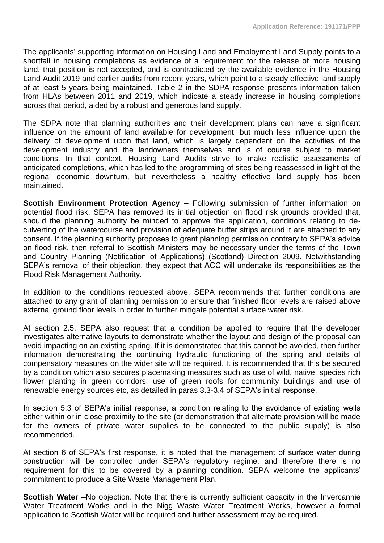The applicants' supporting information on Housing Land and Employment Land Supply points to a shortfall in housing completions as evidence of a requirement for the release of more housing land. that position is not accepted, and is contradicted by the available evidence in the Housing Land Audit 2019 and earlier audits from recent years, which point to a steady effective land supply of at least 5 years being maintained. Table 2 in the SDPA response presents information taken from HLAs between 2011 and 2019, which indicate a steady increase in housing completions across that period, aided by a robust and generous land supply.

The SDPA note that planning authorities and their development plans can have a significant influence on the amount of land available for development, but much less influence upon the delivery of development upon that land, which is largely dependent on the activities of the development industry and the landowners themselves and is of course subject to market conditions. In that context, Housing Land Audits strive to make realistic assessments of anticipated completions, which has led to the programming of sites being reassessed in light of the regional economic downturn, but nevertheless a healthy effective land supply has been maintained.

**Scottish Environment Protection Agency** – Following submission of further information on potential flood risk, SEPA has removed its initial objection on flood risk grounds provided that, should the planning authority be minded to approve the application, conditions relating to deculverting of the watercourse and provision of adequate buffer strips around it are attached to any consent. If the planning authority proposes to grant planning permission contrary to SEPA's advice on flood risk, then referral to Scottish Ministers may be necessary under the terms of the Town and Country Planning (Notification of Applications) (Scotland) Direction 2009. Notwithstanding SEPA's removal of their objection, they expect that ACC will undertake its responsibilities as the Flood Risk Management Authority.

In addition to the conditions requested above, SEPA recommends that further conditions are attached to any grant of planning permission to ensure that finished floor levels are raised above external ground floor levels in order to further mitigate potential surface water risk.

At section 2.5, SEPA also request that a condition be applied to require that the developer investigates alternative layouts to demonstrate whether the layout and design of the proposal can avoid impacting on an existing spring. If it is demonstrated that this cannot be avoided, then further information demonstrating the continuing hydraulic functioning of the spring and details of compensatory measures on the wider site will be required. It is recommended that this be secured by a condition which also secures placemaking measures such as use of wild, native, species rich flower planting in green corridors, use of green roofs for community buildings and use of renewable energy sources etc, as detailed in paras 3.3-3.4 of SEPA's initial response.

In section 5.3 of SEPA's initial response, a condition relating to the avoidance of existing wells either within or in close proximity to the site (or demonstration that alternate provision will be made for the owners of private water supplies to be connected to the public supply) is also recommended.

At section 6 of SEPA's first response, it is noted that the management of surface water during construction will be controlled under SEPA's regulatory regime, and therefore there is no requirement for this to be covered by a planning condition. SEPA welcome the applicants' commitment to produce a Site Waste Management Plan.

**Scottish Water** –No objection. Note that there is currently sufficient capacity in the Invercannie Water Treatment Works and in the Nigg Waste Water Treatment Works, however a formal application to Scottish Water will be required and further assessment may be required.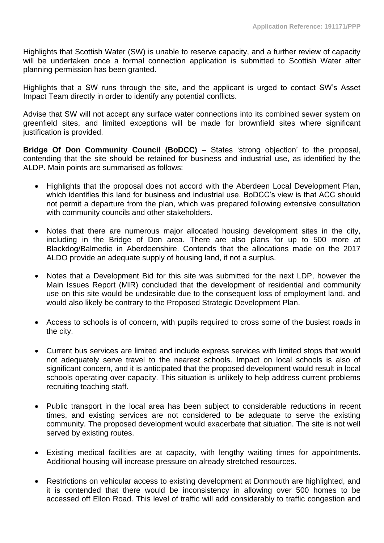Highlights that Scottish Water (SW) is unable to reserve capacity, and a further review of capacity will be undertaken once a formal connection application is submitted to Scottish Water after planning permission has been granted.

Highlights that a SW runs through the site, and the applicant is urged to contact SW's Asset Impact Team directly in order to identify any potential conflicts.

Advise that SW will not accept any surface water connections into its combined sewer system on greenfield sites, and limited exceptions will be made for brownfield sites where significant justification is provided.

**Bridge Of Don Community Council (BoDCC)** – States 'strong objection' to the proposal, contending that the site should be retained for business and industrial use, as identified by the ALDP. Main points are summarised as follows:

- Highlights that the proposal does not accord with the Aberdeen Local Development Plan, which identifies this land for business and industrial use. BoDCC's view is that ACC should not permit a departure from the plan, which was prepared following extensive consultation with community councils and other stakeholders.
- Notes that there are numerous major allocated housing development sites in the city, including in the Bridge of Don area. There are also plans for up to 500 more at Blackdog/Balmedie in Aberdeenshire. Contends that the allocations made on the 2017 ALDO provide an adequate supply of housing land, if not a surplus.
- Notes that a Development Bid for this site was submitted for the next LDP, however the Main Issues Report (MIR) concluded that the development of residential and community use on this site would be undesirable due to the consequent loss of employment land, and would also likely be contrary to the Proposed Strategic Development Plan.
- Access to schools is of concern, with pupils required to cross some of the busiest roads in the city.
- Current bus services are limited and include express services with limited stops that would not adequately serve travel to the nearest schools. Impact on local schools is also of significant concern, and it is anticipated that the proposed development would result in local schools operating over capacity. This situation is unlikely to help address current problems recruiting teaching staff.
- Public transport in the local area has been subject to considerable reductions in recent times, and existing services are not considered to be adequate to serve the existing community. The proposed development would exacerbate that situation. The site is not well served by existing routes.
- Existing medical facilities are at capacity, with lengthy waiting times for appointments. Additional housing will increase pressure on already stretched resources.
- Restrictions on vehicular access to existing development at Donmouth are highlighted, and it is contended that there would be inconsistency in allowing over 500 homes to be accessed off Ellon Road. This level of traffic will add considerably to traffic congestion and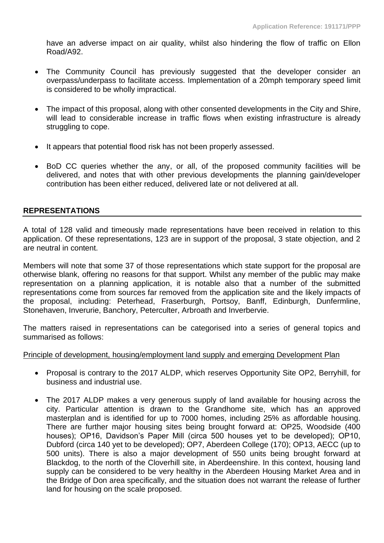have an adverse impact on air quality, whilst also hindering the flow of traffic on Ellon Road/A92.

- The Community Council has previously suggested that the developer consider an overpass/underpass to facilitate access. Implementation of a 20mph temporary speed limit is considered to be wholly impractical.
- The impact of this proposal, along with other consented developments in the City and Shire, will lead to considerable increase in traffic flows when existing infrastructure is already struggling to cope.
- It appears that potential flood risk has not been properly assessed.
- BoD CC queries whether the any, or all, of the proposed community facilities will be delivered, and notes that with other previous developments the planning gain/developer contribution has been either reduced, delivered late or not delivered at all.

# **REPRESENTATIONS**

A total of 128 valid and timeously made representations have been received in relation to this application. Of these representations, 123 are in support of the proposal, 3 state objection, and 2 are neutral in content.

Members will note that some 37 of those representations which state support for the proposal are otherwise blank, offering no reasons for that support. Whilst any member of the public may make representation on a planning application, it is notable also that a number of the submitted representations come from sources far removed from the application site and the likely impacts of the proposal, including: Peterhead, Fraserburgh, Portsoy, Banff, Edinburgh, Dunfermline, Stonehaven, Inverurie, Banchory, Peterculter, Arbroath and Inverbervie.

The matters raised in representations can be categorised into a series of general topics and summarised as follows:

#### Principle of development, housing/employment land supply and emerging Development Plan

- Proposal is contrary to the 2017 ALDP, which reserves Opportunity Site OP2, Berryhill, for business and industrial use.
- The 2017 ALDP makes a very generous supply of land available for housing across the city. Particular attention is drawn to the Grandhome site, which has an approved masterplan and is identified for up to 7000 homes, including 25% as affordable housing. There are further major housing sites being brought forward at: OP25, Woodside (400 houses); OP16, Davidson's Paper Mill (circa 500 houses yet to be developed); OP10, Dubford (circa 140 yet to be developed); OP7, Aberdeen College (170); OP13, AECC (up to 500 units). There is also a major development of 550 units being brought forward at Blackdog, to the north of the Cloverhill site, in Aberdeenshire. In this context, housing land supply can be considered to be very healthy in the Aberdeen Housing Market Area and in the Bridge of Don area specifically, and the situation does not warrant the release of further land for housing on the scale proposed.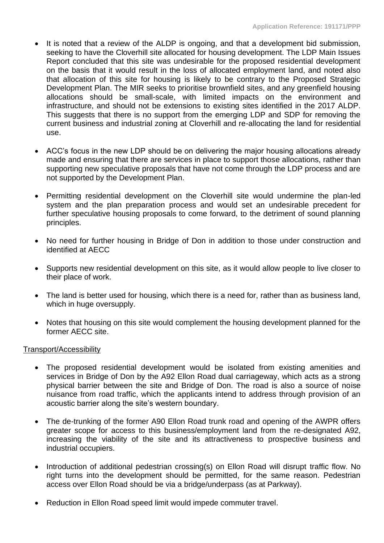- It is noted that a review of the ALDP is ongoing, and that a development bid submission, seeking to have the Cloverhill site allocated for housing development. The LDP Main Issues Report concluded that this site was undesirable for the proposed residential development on the basis that it would result in the loss of allocated employment land, and noted also that allocation of this site for housing is likely to be contrary to the Proposed Strategic Development Plan. The MIR seeks to prioritise brownfield sites, and any greenfield housing allocations should be small-scale, with limited impacts on the environment and infrastructure, and should not be extensions to existing sites identified in the 2017 ALDP. This suggests that there is no support from the emerging LDP and SDP for removing the current business and industrial zoning at Cloverhill and re-allocating the land for residential use.
- ACC's focus in the new LDP should be on delivering the major housing allocations already made and ensuring that there are services in place to support those allocations, rather than supporting new speculative proposals that have not come through the LDP process and are not supported by the Development Plan.
- Permitting residential development on the Cloverhill site would undermine the plan-led system and the plan preparation process and would set an undesirable precedent for further speculative housing proposals to come forward, to the detriment of sound planning principles.
- No need for further housing in Bridge of Don in addition to those under construction and identified at AECC
- Supports new residential development on this site, as it would allow people to live closer to their place of work.
- The land is better used for housing, which there is a need for, rather than as business land, which in huge oversupply.
- Notes that housing on this site would complement the housing development planned for the former AECC site.

# Transport/Accessibility

- The proposed residential development would be isolated from existing amenities and services in Bridge of Don by the A92 Ellon Road dual carriageway, which acts as a strong physical barrier between the site and Bridge of Don. The road is also a source of noise nuisance from road traffic, which the applicants intend to address through provision of an acoustic barrier along the site's western boundary.
- The de-trunking of the former A90 Ellon Road trunk road and opening of the AWPR offers greater scope for access to this business/employment land from the re-designated A92, increasing the viability of the site and its attractiveness to prospective business and industrial occupiers.
- Introduction of additional pedestrian crossing(s) on Ellon Road will disrupt traffic flow. No right turns into the development should be permitted, for the same reason. Pedestrian access over Ellon Road should be via a bridge/underpass (as at Parkway).
- Reduction in Ellon Road speed limit would impede commuter travel.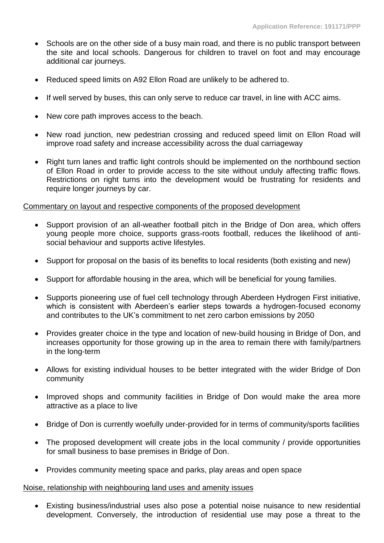- Schools are on the other side of a busy main road, and there is no public transport between the site and local schools. Dangerous for children to travel on foot and may encourage additional car journeys.
- Reduced speed limits on A92 Ellon Road are unlikely to be adhered to.
- If well served by buses, this can only serve to reduce car travel, in line with ACC aims.
- New core path improves access to the beach.
- New road junction, new pedestrian crossing and reduced speed limit on Ellon Road will improve road safety and increase accessibility across the dual carriageway
- Right turn lanes and traffic light controls should be implemented on the northbound section of Ellon Road in order to provide access to the site without unduly affecting traffic flows. Restrictions on right turns into the development would be frustrating for residents and require longer journeys by car.

#### Commentary on layout and respective components of the proposed development

- Support provision of an all-weather football pitch in the Bridge of Don area, which offers young people more choice, supports grass-roots football, reduces the likelihood of antisocial behaviour and supports active lifestyles.
- Support for proposal on the basis of its benefits to local residents (both existing and new)
- Support for affordable housing in the area, which will be beneficial for young families.
- Supports pioneering use of fuel cell technology through Aberdeen Hydrogen First initiative, which is consistent with Aberdeen's earlier steps towards a hydrogen-focused economy and contributes to the UK's commitment to net zero carbon emissions by 2050
- Provides greater choice in the type and location of new-build housing in Bridge of Don, and increases opportunity for those growing up in the area to remain there with family/partners in the long-term
- Allows for existing individual houses to be better integrated with the wider Bridge of Don community
- Improved shops and community facilities in Bridge of Don would make the area more attractive as a place to live
- Bridge of Don is currently woefully under-provided for in terms of community/sports facilities
- The proposed development will create jobs in the local community / provide opportunities for small business to base premises in Bridge of Don.
- Provides community meeting space and parks, play areas and open space

#### Noise, relationship with neighbouring land uses and amenity issues

• Existing business/industrial uses also pose a potential noise nuisance to new residential development. Conversely, the introduction of residential use may pose a threat to the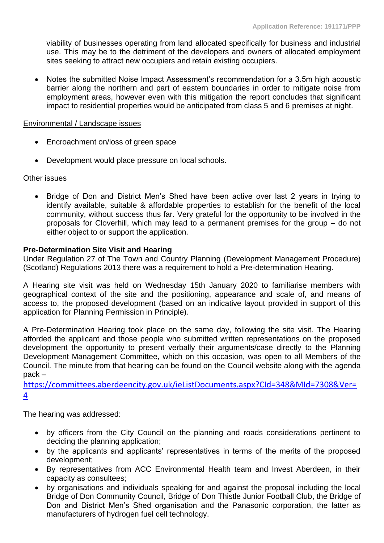viability of businesses operating from land allocated specifically for business and industrial use. This may be to the detriment of the developers and owners of allocated employment sites seeking to attract new occupiers and retain existing occupiers.

• Notes the submitted Noise Impact Assessment's recommendation for a 3.5m high acoustic barrier along the northern and part of eastern boundaries in order to mitigate noise from employment areas, however even with this mitigation the report concludes that significant impact to residential properties would be anticipated from class 5 and 6 premises at night.

#### Environmental / Landscape issues

- Encroachment on/loss of green space
- Development would place pressure on local schools.

# Other issues

• Bridge of Don and District Men's Shed have been active over last 2 years in trying to identify available, suitable & affordable properties to establish for the benefit of the local community, without success thus far. Very grateful for the opportunity to be involved in the proposals for Cloverhill, which may lead to a permanent premises for the group – do not either object to or support the application.

# **Pre-Determination Site Visit and Hearing**

Under Regulation 27 of The Town and Country Planning (Development Management Procedure) (Scotland) Regulations 2013 there was a requirement to hold a Pre-determination Hearing.

A Hearing site visit was held on Wednesday 15th January 2020 to familiarise members with geographical context of the site and the positioning, appearance and scale of, and means of access to, the proposed development (based on an indicative layout provided in support of this application for Planning Permission in Principle).

A Pre-Determination Hearing took place on the same day, following the site visit. The Hearing afforded the applicant and those people who submitted written representations on the proposed development the opportunity to present verbally their arguments/case directly to the Planning Development Management Committee, which on this occasion, was open to all Members of the Council. The minute from that hearing can be found on the Council website along with the agenda pack –

[https://committees.aberdeencity.gov.uk/ieListDocuments.aspx?CId=348&MId=7308&Ver=](https://committees.aberdeencity.gov.uk/ieListDocuments.aspx?CId=348&MId=7308&Ver=4) [4](https://committees.aberdeencity.gov.uk/ieListDocuments.aspx?CId=348&MId=7308&Ver=4)

The hearing was addressed:

- by officers from the City Council on the planning and roads considerations pertinent to deciding the planning application;
- by the applicants and applicants' representatives in terms of the merits of the proposed development;
- By representatives from ACC Environmental Health team and Invest Aberdeen, in their capacity as consultees;
- by organisations and individuals speaking for and against the proposal including the local Bridge of Don Community Council, Bridge of Don Thistle Junior Football Club, the Bridge of Don and District Men's Shed organisation and the Panasonic corporation, the latter as manufacturers of hydrogen fuel cell technology.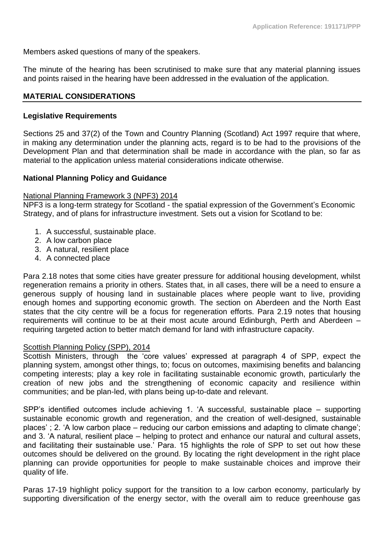Members asked questions of many of the speakers.

The minute of the hearing has been scrutinised to make sure that any material planning issues and points raised in the hearing have been addressed in the evaluation of the application.

### **MATERIAL CONSIDERATIONS**

#### **Legislative Requirements**

Sections 25 and 37(2) of the Town and Country Planning (Scotland) Act 1997 require that where, in making any determination under the planning acts, regard is to be had to the provisions of the Development Plan and that determination shall be made in accordance with the plan, so far as material to the application unless material considerations indicate otherwise.

#### **National Planning Policy and Guidance**

#### National Planning Framework 3 (NPF3) 2014

NPF3 is a long-term strategy for Scotland - the spatial expression of the Government's Economic Strategy, and of plans for infrastructure investment. Sets out a vision for Scotland to be:

- 1. A successful, sustainable place.
- 2. A low carbon place
- 3. A natural, resilient place
- 4. A connected place

Para 2.18 notes that some cities have greater pressure for additional housing development, whilst regeneration remains a priority in others. States that, in all cases, there will be a need to ensure a generous supply of housing land in sustainable places where people want to live, providing enough homes and supporting economic growth. The section on Aberdeen and the North East states that the city centre will be a focus for regeneration efforts. Para 2.19 notes that housing requirements will continue to be at their most acute around Edinburgh, Perth and Aberdeen – requiring targeted action to better match demand for land with infrastructure capacity.

#### Scottish Planning Policy (SPP), 2014

Scottish Ministers, through the 'core values' expressed at paragraph 4 of SPP, expect the planning system, amongst other things, to; focus on outcomes, maximising benefits and balancing competing interests; play a key role in facilitating sustainable economic growth, particularly the creation of new jobs and the strengthening of economic capacity and resilience within communities; and be plan-led, with plans being up-to-date and relevant.

SPP's identified outcomes include achieving 1. 'A successful, sustainable place – supporting sustainable economic growth and regeneration, and the creation of well-designed, sustainable places' ; 2. 'A low carbon place – reducing our carbon emissions and adapting to climate change'; and 3. 'A natural, resilient place – helping to protect and enhance our natural and cultural assets, and facilitating their sustainable use.' Para. 15 highlights the role of SPP to set out how these outcomes should be delivered on the ground. By locating the right development in the right place planning can provide opportunities for people to make sustainable choices and improve their quality of life.

Paras 17-19 highlight policy support for the transition to a low carbon economy, particularly by supporting diversification of the energy sector, with the overall aim to reduce greenhouse gas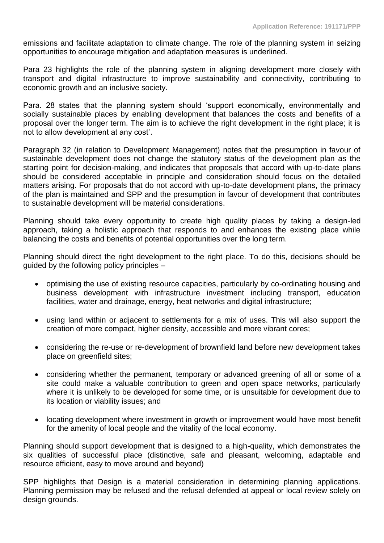emissions and facilitate adaptation to climate change. The role of the planning system in seizing opportunities to encourage mitigation and adaptation measures is underlined.

Para 23 highlights the role of the planning system in aligning development more closely with transport and digital infrastructure to improve sustainability and connectivity, contributing to economic growth and an inclusive society.

Para. 28 states that the planning system should 'support economically, environmentally and socially sustainable places by enabling development that balances the costs and benefits of a proposal over the longer term. The aim is to achieve the right development in the right place; it is not to allow development at any cost'.

Paragraph 32 (in relation to Development Management) notes that the presumption in favour of sustainable development does not change the statutory status of the development plan as the starting point for decision-making, and indicates that proposals that accord with up-to-date plans should be considered acceptable in principle and consideration should focus on the detailed matters arising. For proposals that do not accord with up-to-date development plans, the primacy of the plan is maintained and SPP and the presumption in favour of development that contributes to sustainable development will be material considerations.

Planning should take every opportunity to create high quality places by taking a design-led approach, taking a holistic approach that responds to and enhances the existing place while balancing the costs and benefits of potential opportunities over the long term.

Planning should direct the right development to the right place. To do this, decisions should be guided by the following policy principles –

- optimising the use of existing resource capacities, particularly by co-ordinating housing and business development with infrastructure investment including transport, education facilities, water and drainage, energy, heat networks and digital infrastructure;
- using land within or adjacent to settlements for a mix of uses. This will also support the creation of more compact, higher density, accessible and more vibrant cores;
- considering the re-use or re-development of brownfield land before new development takes place on greenfield sites;
- considering whether the permanent, temporary or advanced greening of all or some of a site could make a valuable contribution to green and open space networks, particularly where it is unlikely to be developed for some time, or is unsuitable for development due to its location or viability issues; and
- locating development where investment in growth or improvement would have most benefit for the amenity of local people and the vitality of the local economy.

Planning should support development that is designed to a high-quality, which demonstrates the six qualities of successful place (distinctive, safe and pleasant, welcoming, adaptable and resource efficient, easy to move around and beyond)

SPP highlights that Design is a material consideration in determining planning applications. Planning permission may be refused and the refusal defended at appeal or local review solely on design grounds.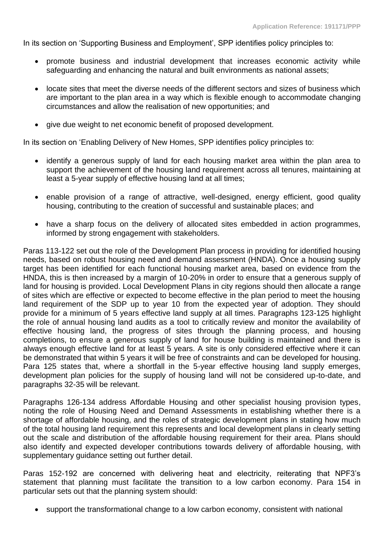In its section on 'Supporting Business and Employment', SPP identifies policy principles to:

- promote business and industrial development that increases economic activity while safeguarding and enhancing the natural and built environments as national assets;
- locate sites that meet the diverse needs of the different sectors and sizes of business which are important to the plan area in a way which is flexible enough to accommodate changing circumstances and allow the realisation of new opportunities; and
- give due weight to net economic benefit of proposed development.

In its section on 'Enabling Delivery of New Homes, SPP identifies policy principles to:

- identify a generous supply of land for each housing market area within the plan area to support the achievement of the housing land requirement across all tenures, maintaining at least a 5-year supply of effective housing land at all times;
- enable provision of a range of attractive, well-designed, energy efficient, good quality housing, contributing to the creation of successful and sustainable places; and
- have a sharp focus on the delivery of allocated sites embedded in action programmes, informed by strong engagement with stakeholders.

Paras 113-122 set out the role of the Development Plan process in providing for identified housing needs, based on robust housing need and demand assessment (HNDA). Once a housing supply target has been identified for each functional housing market area, based on evidence from the HNDA, this is then increased by a margin of 10-20% in order to ensure that a generous supply of land for housing is provided. Local Development Plans in city regions should then allocate a range of sites which are effective or expected to become effective in the plan period to meet the housing land requirement of the SDP up to year 10 from the expected year of adoption. They should provide for a minimum of 5 years effective land supply at all times. Paragraphs 123-125 highlight the role of annual housing land audits as a tool to critically review and monitor the availability of effective housing land, the progress of sites through the planning process, and housing completions, to ensure a generous supply of land for house building is maintained and there is always enough effective land for at least 5 years. A site is only considered effective where it can be demonstrated that within 5 years it will be free of constraints and can be developed for housing. Para 125 states that, where a shortfall in the 5-year effective housing land supply emerges, development plan policies for the supply of housing land will not be considered up-to-date, and paragraphs 32-35 will be relevant.

Paragraphs 126-134 address Affordable Housing and other specialist housing provision types, noting the role of Housing Need and Demand Assessments in establishing whether there is a shortage of affordable housing, and the roles of strategic development plans in stating how much of the total housing land requirement this represents and local development plans in clearly setting out the scale and distribution of the affordable housing requirement for their area. Plans should also identify and expected developer contributions towards delivery of affordable housing, with supplementary guidance setting out further detail.

Paras 152-192 are concerned with delivering heat and electricity, reiterating that NPF3's statement that planning must facilitate the transition to a low carbon economy. Para 154 in particular sets out that the planning system should:

• support the transformational change to a low carbon economy, consistent with national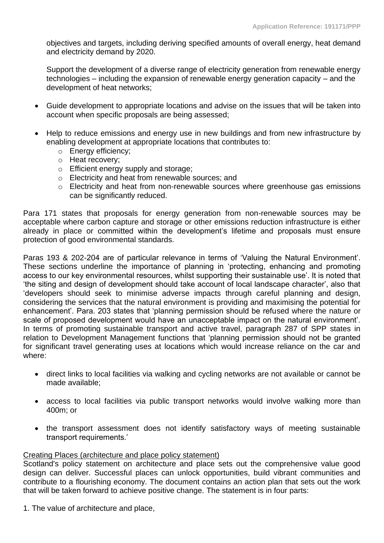objectives and targets, including deriving specified amounts of overall energy, heat demand and electricity demand by 2020.

Support the development of a diverse range of electricity generation from renewable energy technologies – including the expansion of renewable energy generation capacity – and the development of heat networks;

- Guide development to appropriate locations and advise on the issues that will be taken into account when specific proposals are being assessed;
- Help to reduce emissions and energy use in new buildings and from new infrastructure by enabling development at appropriate locations that contributes to:
	- o Energy efficiency;
	- o Heat recovery;
	- o Efficient energy supply and storage;
	- o Electricity and heat from renewable sources; and
	- o Electricity and heat from non-renewable sources where greenhouse gas emissions can be significantly reduced.

Para 171 states that proposals for energy generation from non-renewable sources may be acceptable where carbon capture and storage or other emissions reduction infrastructure is either already in place or committed within the development's lifetime and proposals must ensure protection of good environmental standards.

Paras 193 & 202-204 are of particular relevance in terms of 'Valuing the Natural Environment'. These sections underline the importance of planning in 'protecting, enhancing and promoting access to our key environmental resources, whilst supporting their sustainable use'. It is noted that 'the siting and design of development should take account of local landscape character', also that 'developers should seek to minimise adverse impacts through careful planning and design, considering the services that the natural environment is providing and maximising the potential for enhancement'. Para. 203 states that 'planning permission should be refused where the nature or scale of proposed development would have an unacceptable impact on the natural environment'. In terms of promoting sustainable transport and active travel, paragraph 287 of SPP states in relation to Development Management functions that 'planning permission should not be granted for significant travel generating uses at locations which would increase reliance on the car and where:

- direct links to local facilities via walking and cycling networks are not available or cannot be made available;
- access to local facilities via public transport networks would involve walking more than 400m; or
- the transport assessment does not identify satisfactory ways of meeting sustainable transport requirements.'

#### Creating Places (architecture and place policy statement)

Scotland's policy statement on architecture and place sets out the comprehensive value good design can deliver. Successful places can unlock opportunities, build vibrant communities and contribute to a flourishing economy. The document contains an action plan that sets out the work that will be taken forward to achieve positive change. The statement is in four parts:

1. The value of architecture and place,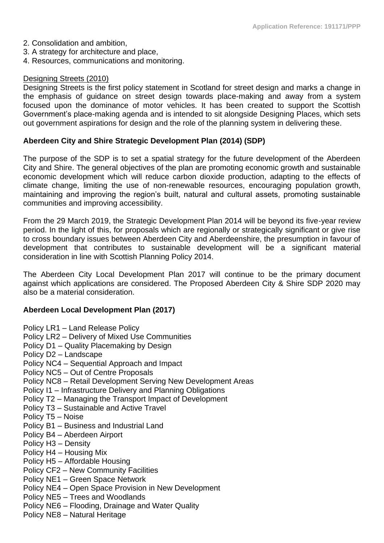- 2. Consolidation and ambition,
- 3. A strategy for architecture and place,
- 4. Resources, communications and monitoring.

### Designing Streets (2010)

Designing Streets is the first policy statement in Scotland for street design and marks a change in the emphasis of guidance on street design towards place-making and away from a system focused upon the dominance of motor vehicles. It has been created to support the Scottish Government's place-making agenda and is intended to sit alongside Designing Places, which sets out government aspirations for design and the role of the planning system in delivering these.

### **Aberdeen City and Shire Strategic Development Plan (2014) (SDP)**

The purpose of the SDP is to set a spatial strategy for the future development of the Aberdeen City and Shire. The general objectives of the plan are promoting economic growth and sustainable economic development which will reduce carbon dioxide production, adapting to the effects of climate change, limiting the use of non-renewable resources, encouraging population growth, maintaining and improving the region's built, natural and cultural assets, promoting sustainable communities and improving accessibility.

From the 29 March 2019, the Strategic Development Plan 2014 will be beyond its five-year review period. In the light of this, for proposals which are regionally or strategically significant or give rise to cross boundary issues between Aberdeen City and Aberdeenshire, the presumption in favour of development that contributes to sustainable development will be a significant material consideration in line with Scottish Planning Policy 2014.

The Aberdeen City Local Development Plan 2017 will continue to be the primary document against which applications are considered. The Proposed Aberdeen City & Shire SDP 2020 may also be a material consideration.

# **Aberdeen Local Development Plan (2017)**

- Policy LR1 Land Release Policy
- Policy LR2 Delivery of Mixed Use Communities
- Policy D1 Quality Placemaking by Design
- Policy D2 Landscape
- Policy NC4 Sequential Approach and Impact
- Policy NC5 Out of Centre Proposals
- Policy NC8 Retail Development Serving New Development Areas
- Policy I1 Infrastructure Delivery and Planning Obligations
- Policy T2 Managing the Transport Impact of Development
- Policy T3 Sustainable and Active Travel
- Policy T5 Noise
- Policy B1 Business and Industrial Land
- Policy B4 Aberdeen Airport
- Policy H3 Density
- Policy H4 Housing Mix
- Policy H5 Affordable Housing
- Policy CF2 New Community Facilities
- Policy NE1 Green Space Network
- Policy NE4 Open Space Provision in New Development
- Policy NE5 Trees and Woodlands
- Policy NE6 Flooding, Drainage and Water Quality
- Policy NE8 Natural Heritage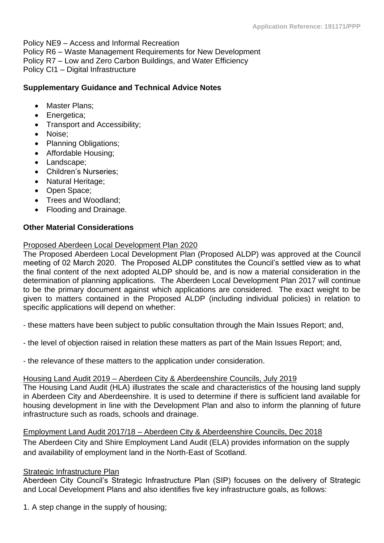Policy NE9 – Access and Informal Recreation Policy R6 – Waste Management Requirements for New Development Policy R7 – Low and Zero Carbon Buildings, and Water Efficiency Policy CI1 – Digital Infrastructure

# **Supplementary Guidance and Technical Advice Notes**

- Master Plans;
- Energetica;
- Transport and Accessibility;
- Noise;
- Planning Obligations;
- Affordable Housing;
- Landscape:
- Children's Nurseries;
- Natural Heritage;
- Open Space;
- Trees and Woodland:
- Flooding and Drainage.

# **Other Material Considerations**

# Proposed Aberdeen Local Development Plan 2020

The Proposed Aberdeen Local Development Plan (Proposed ALDP) was approved at the Council meeting of 02 March 2020. The Proposed ALDP constitutes the Council's settled view as to what the final content of the next adopted ALDP should be, and is now a material consideration in the determination of planning applications. The Aberdeen Local Development Plan 2017 will continue to be the primary document against which applications are considered. The exact weight to be given to matters contained in the Proposed ALDP (including individual policies) in relation to specific applications will depend on whether:

- these matters have been subject to public consultation through the Main Issues Report; and,

- the level of objection raised in relation these matters as part of the Main Issues Report; and,

- the relevance of these matters to the application under consideration.

# Housing Land Audit 2019 – Aberdeen City & Aberdeenshire Councils, July 2019

The Housing Land Audit (HLA) illustrates the scale and characteristics of the housing land supply in Aberdeen City and Aberdeenshire. It is used to determine if there is sufficient land available for housing development in line with the Development Plan and also to inform the planning of future infrastructure such as roads, schools and drainage.

Employment Land Audit 2017/18 – Aberdeen City & Aberdeenshire Councils, Dec 2018

The Aberdeen City and Shire Employment Land Audit (ELA) provides information on the supply and availability of employment land in the North-East of Scotland.

# Strategic Infrastructure Plan

Aberdeen City Council's Strategic Infrastructure Plan (SIP) focuses on the delivery of Strategic and Local Development Plans and also identifies five key infrastructure goals, as follows:

1. A step change in the supply of housing;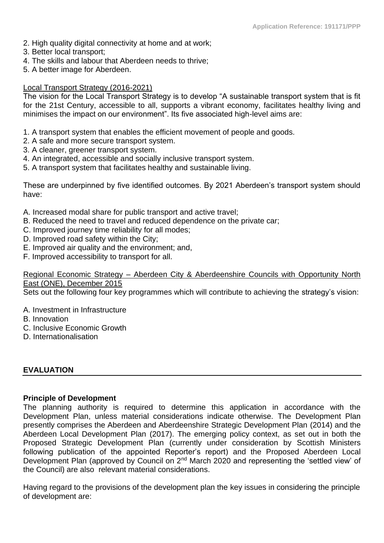- 2. High quality digital connectivity at home and at work;
- 3. Better local transport;
- 4. The skills and labour that Aberdeen needs to thrive;
- 5. A better image for Aberdeen.

#### Local Transport Strategy (2016-2021)

The vision for the Local Transport Strategy is to develop "A sustainable transport system that is fit for the 21st Century, accessible to all, supports a vibrant economy, facilitates healthy living and minimises the impact on our environment". Its five associated high-level aims are:

- 1. A transport system that enables the efficient movement of people and goods.
- 2. A safe and more secure transport system.
- 3. A cleaner, greener transport system.
- 4. An integrated, accessible and socially inclusive transport system.
- 5. A transport system that facilitates healthy and sustainable living.

These are underpinned by five identified outcomes. By 2021 Aberdeen's transport system should have:

- A. Increased modal share for public transport and active travel;
- B. Reduced the need to travel and reduced dependence on the private car;
- C. Improved journey time reliability for all modes;
- D. Improved road safety within the City;
- E. Improved air quality and the environment; and,
- F. Improved accessibility to transport for all.

# Regional Economic Strategy – Aberdeen City & Aberdeenshire Councils with Opportunity North East (ONE), December 2015

Sets out the following four key programmes which will contribute to achieving the strategy's vision:

- A. Investment in Infrastructure
- B. Innovation
- C. Inclusive Economic Growth
- D. Internationalisation

# **EVALUATION**

#### **Principle of Development**

The planning authority is required to determine this application in accordance with the Development Plan, unless material considerations indicate otherwise. The Development Plan presently comprises the Aberdeen and Aberdeenshire Strategic Development Plan (2014) and the Aberdeen Local Development Plan (2017). The emerging policy context, as set out in both the Proposed Strategic Development Plan (currently under consideration by Scottish Ministers following publication of the appointed Reporter's report) and the Proposed Aberdeen Local Development Plan (approved by Council on 2<sup>nd</sup> March 2020 and representing the 'settled view' of the Council) are also relevant material considerations.

Having regard to the provisions of the development plan the key issues in considering the principle of development are: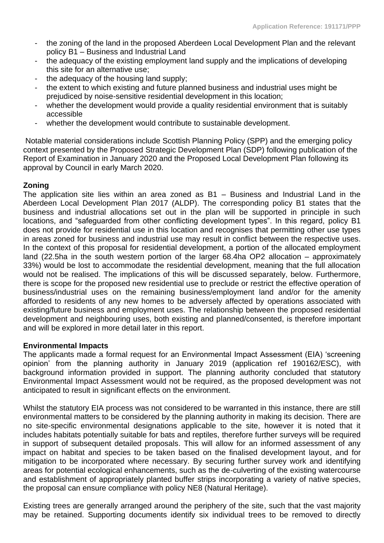- the zoning of the land in the proposed Aberdeen Local Development Plan and the relevant policy B1 – Business and Industrial Land
- the adequacy of the existing employment land supply and the implications of developing this site for an alternative use;
- the adequacy of the housing land supply;
- the extent to which existing and future planned business and industrial uses might be prejudiced by noise-sensitive residential development in this location;
- whether the development would provide a quality residential environment that is suitably accessible
- whether the development would contribute to sustainable development.

Notable material considerations include Scottish Planning Policy (SPP) and the emerging policy context presented by the Proposed Strategic Development Plan (SDP) following publication of the Report of Examination in January 2020 and the Proposed Local Development Plan following its approval by Council in early March 2020.

# **Zoning**

The application site lies within an area zoned as B1 – Business and Industrial Land in the Aberdeen Local Development Plan 2017 (ALDP). The corresponding policy B1 states that the business and industrial allocations set out in the plan will be supported in principle in such locations, and "safeguarded from other conflicting development types". In this regard, policy B1 does not provide for residential use in this location and recognises that permitting other use types in areas zoned for business and industrial use may result in conflict between the respective uses. In the context of this proposal for residential development, a portion of the allocated employment land (22.5ha in the south western portion of the larger 68.4ha OP2 allocation – approximately 33%) would be lost to accommodate the residential development, meaning that the full allocation would not be realised. The implications of this will be discussed separately, below. Furthermore, there is scope for the proposed new residential use to preclude or restrict the effective operation of business/industrial uses on the remaining business/employment land and/or for the amenity afforded to residents of any new homes to be adversely affected by operations associated with existing/future business and employment uses. The relationship between the proposed residential development and neighbouring uses, both existing and planned/consented, is therefore important and will be explored in more detail later in this report.

# **Environmental Impacts**

The applicants made a formal request for an Environmental Impact Assessment (EIA) 'screening opinion' from the planning authority in January 2019 (application ref 190162/ESC), with background information provided in support. The planning authority concluded that statutory Environmental Impact Assessment would not be required, as the proposed development was not anticipated to result in significant effects on the environment.

Whilst the statutory EIA process was not considered to be warranted in this instance, there are still environmental matters to be considered by the planning authority in making its decision. There are no site-specific environmental designations applicable to the site, however it is noted that it includes habitats potentially suitable for bats and reptiles, therefore further surveys will be required in support of subsequent detailed proposals. This will allow for an informed assessment of any impact on habitat and species to be taken based on the finalised development layout, and for mitigation to be incorporated where necessary. By securing further survey work and identifying areas for potential ecological enhancements, such as the de-culverting of the existing watercourse and establishment of appropriately planted buffer strips incorporating a variety of native species, the proposal can ensure compliance with policy NE8 (Natural Heritage).

Existing trees are generally arranged around the periphery of the site, such that the vast majority may be retained. Supporting documents identify six individual trees to be removed to directly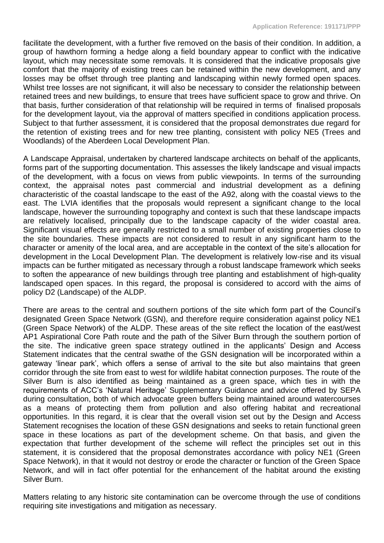facilitate the development, with a further five removed on the basis of their condition. In addition, a group of hawthorn forming a hedge along a field boundary appear to conflict with the indicative layout, which may necessitate some removals. It is considered that the indicative proposals give comfort that the majority of existing trees can be retained within the new development, and any losses may be offset through tree planting and landscaping within newly formed open spaces. Whilst tree losses are not significant, it will also be necessary to consider the relationship between retained trees and new buildings, to ensure that trees have sufficient space to grow and thrive. On that basis, further consideration of that relationship will be required in terms of finalised proposals for the development layout, via the approval of matters specified in conditions application process. Subject to that further assessment, it is considered that the proposal demonstrates due regard for the retention of existing trees and for new tree planting, consistent with policy NE5 (Trees and Woodlands) of the Aberdeen Local Development Plan.

A Landscape Appraisal, undertaken by chartered landscape architects on behalf of the applicants, forms part of the supporting documentation. This assesses the likely landscape and visual impacts of the development, with a focus on views from public viewpoints. In terms of the surrounding context, the appraisal notes past commercial and industrial development as a defining characteristic of the coastal landscape to the east of the A92, along with the coastal views to the east. The LVIA identifies that the proposals would represent a significant change to the local landscape, however the surrounding topography and context is such that these landscape impacts are relatively localised, principally due to the landscape capacity of the wider coastal area. Significant visual effects are generally restricted to a small number of existing properties close to the site boundaries. These impacts are not considered to result in any significant harm to the character or amenity of the local area, and are acceptable in the context of the site's allocation for development in the Local Development Plan. The development is relatively low-rise and its visual impacts can be further mitigated as necessary through a robust landscape framework which seeks to soften the appearance of new buildings through tree planting and establishment of high-quality landscaped open spaces. In this regard, the proposal is considered to accord with the aims of policy D2 (Landscape) of the ALDP.

There are areas to the central and southern portions of the site which form part of the Council's designated Green Space Network (GSN), and therefore require consideration against policy NE1 (Green Space Network) of the ALDP. These areas of the site reflect the location of the east/west AP1 Aspirational Core Path route and the path of the Silver Burn through the southern portion of the site. The indicative green space strategy outlined in the applicants' Design and Access Statement indicates that the central swathe of the GSN designation will be incorporated within a gateway 'linear park', which offers a sense of arrival to the site but also maintains that green corridor through the site from east to west for wildlife habitat connection purposes. The route of the Silver Burn is also identified as being maintained as a green space, which ties in with the requirements of ACC's 'Natural Heritage' Supplementary Guidance and advice offered by SEPA during consultation, both of which advocate green buffers being maintained around watercourses as a means of protecting them from pollution and also offering habitat and recreational opportunities. In this regard, it is clear that the overall vision set out by the Design and Access Statement recognises the location of these GSN designations and seeks to retain functional green space in these locations as part of the development scheme. On that basis, and given the expectation that further development of the scheme will reflect the principles set out in this statement, it is considered that the proposal demonstrates accordance with policy NE1 (Green Space Network), in that it would not destroy or erode the character or function of the Green Space Network, and will in fact offer potential for the enhancement of the habitat around the existing Silver Burn.

Matters relating to any historic site contamination can be overcome through the use of conditions requiring site investigations and mitigation as necessary.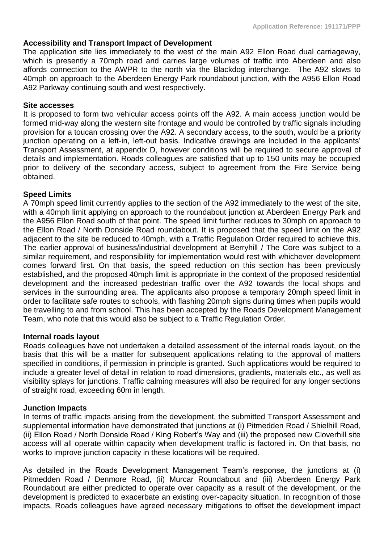# **Accessibility and Transport Impact of Development**

The application site lies immediately to the west of the main A92 Ellon Road dual carriageway, which is presently a 70mph road and carries large volumes of traffic into Aberdeen and also affords connection to the AWPR to the north via the Blackdog interchange. The A92 slows to 40mph on approach to the Aberdeen Energy Park roundabout junction, with the A956 Ellon Road A92 Parkway continuing south and west respectively.

#### **Site accesses**

It is proposed to form two vehicular access points off the A92. A main access junction would be formed mid-way along the western site frontage and would be controlled by traffic signals including provision for a toucan crossing over the A92. A secondary access, to the south, would be a priority junction operating on a left-in, left-out basis. Indicative drawings are included in the applicants' Transport Assessment, at appendix D, however conditions will be required to secure approval of details and implementation. Roads colleagues are satisfied that up to 150 units may be occupied prior to delivery of the secondary access, subject to agreement from the Fire Service being obtained.

# **Speed Limits**

A 70mph speed limit currently applies to the section of the A92 immediately to the west of the site, with a 40mph limit applying on approach to the roundabout junction at Aberdeen Energy Park and the A956 Ellon Road south of that point. The speed limit further reduces to 30mph on approach to the Ellon Road / North Donside Road roundabout. It is proposed that the speed limit on the A92 adjacent to the site be reduced to 40mph, with a Traffic Regulation Order required to achieve this. The earlier approval of business/industrial development at Berryhill / The Core was subject to a similar requirement, and responsibility for implementation would rest with whichever development comes forward first. On that basis, the speed reduction on this section has been previously established, and the proposed 40mph limit is appropriate in the context of the proposed residential development and the increased pedestrian traffic over the A92 towards the local shops and services in the surrounding area. The applicants also propose a temporary 20mph speed limit in order to facilitate safe routes to schools, with flashing 20mph signs during times when pupils would be travelling to and from school. This has been accepted by the Roads Development Management Team, who note that this would also be subject to a Traffic Regulation Order.

#### **Internal roads layout**

Roads colleagues have not undertaken a detailed assessment of the internal roads layout, on the basis that this will be a matter for subsequent applications relating to the approval of matters specified in conditions, if permission in principle is granted. Such applications would be required to include a greater level of detail in relation to road dimensions, gradients, materials etc., as well as visibility splays for junctions. Traffic calming measures will also be required for any longer sections of straight road, exceeding 60m in length.

#### **Junction Impacts**

In terms of traffic impacts arising from the development, the submitted Transport Assessment and supplemental information have demonstrated that junctions at (i) Pitmedden Road / Shielhill Road, (ii) Ellon Road / North Donside Road / King Robert's Way and (iii) the proposed new Cloverhill site access will all operate within capacity when development traffic is factored in. On that basis, no works to improve junction capacity in these locations will be required.

As detailed in the Roads Development Management Team's response, the junctions at (i) Pitmedden Road / Denmore Road, (ii) Murcar Roundabout and (iii) Aberdeen Energy Park Roundabout are either predicted to operate over capacity as a result of the development, or the development is predicted to exacerbate an existing over-capacity situation. In recognition of those impacts, Roads colleagues have agreed necessary mitigations to offset the development impact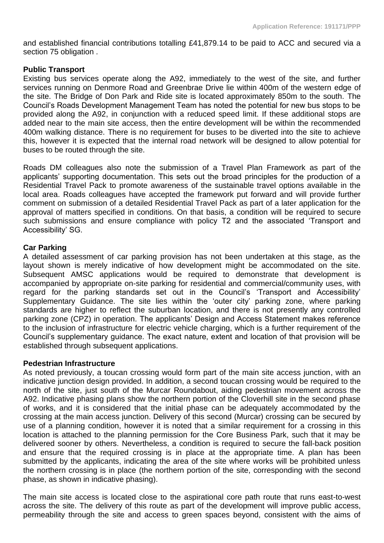and established financial contributions totalling £41,879.14 to be paid to ACC and secured via a section 75 obligation .

# **Public Transport**

Existing bus services operate along the A92, immediately to the west of the site, and further services running on Denmore Road and Greenbrae Drive lie within 400m of the western edge of the site. The Bridge of Don Park and Ride site is located approximately 850m to the south. The Council's Roads Development Management Team has noted the potential for new bus stops to be provided along the A92, in conjunction with a reduced speed limit. If these additional stops are added near to the main site access, then the entire development will be within the recommended 400m walking distance. There is no requirement for buses to be diverted into the site to achieve this, however it is expected that the internal road network will be designed to allow potential for buses to be routed through the site.

Roads DM colleagues also note the submission of a Travel Plan Framework as part of the applicants' supporting documentation. This sets out the broad principles for the production of a Residential Travel Pack to promote awareness of the sustainable travel options available in the local area. Roads colleagues have accepted the framework put forward and will provide further comment on submission of a detailed Residential Travel Pack as part of a later application for the approval of matters specified in conditions. On that basis, a condition will be required to secure such submissions and ensure compliance with policy T2 and the associated 'Transport and Accessibility' SG.

# **Car Parking**

A detailed assessment of car parking provision has not been undertaken at this stage, as the layout shown is merely indicative of how development might be accommodated on the site. Subsequent AMSC applications would be required to demonstrate that development is accompanied by appropriate on-site parking for residential and commercial/community uses, with regard for the parking standards set out in the Council's 'Transport and Accessibility' Supplementary Guidance. The site lies within the 'outer city' parking zone, where parking standards are higher to reflect the suburban location, and there is not presently any controlled parking zone (CPZ) in operation. The applicants' Design and Access Statement makes reference to the inclusion of infrastructure for electric vehicle charging, which is a further requirement of the Council's supplementary guidance. The exact nature, extent and location of that provision will be established through subsequent applications.

# **Pedestrian Infrastructure**

As noted previously, a toucan crossing would form part of the main site access junction, with an indicative junction design provided. In addition, a second toucan crossing would be required to the north of the site, just south of the Murcar Roundabout, aiding pedestrian movement across the A92. Indicative phasing plans show the northern portion of the Cloverhill site in the second phase of works, and it is considered that the initial phase can be adequately accommodated by the crossing at the main access junction. Delivery of this second (Murcar) crossing can be secured by use of a planning condition, however it is noted that a similar requirement for a crossing in this location is attached to the planning permission for the Core Business Park, such that it may be delivered sooner by others. Nevertheless, a condition is required to secure the fall-back position and ensure that the required crossing is in place at the appropriate time. A plan has been submitted by the applicants, indicating the area of the site where works will be prohibited unless the northern crossing is in place (the northern portion of the site, corresponding with the second phase, as shown in indicative phasing).

The main site access is located close to the aspirational core path route that runs east-to-west across the site. The delivery of this route as part of the development will improve public access, permeability through the site and access to green spaces beyond, consistent with the aims of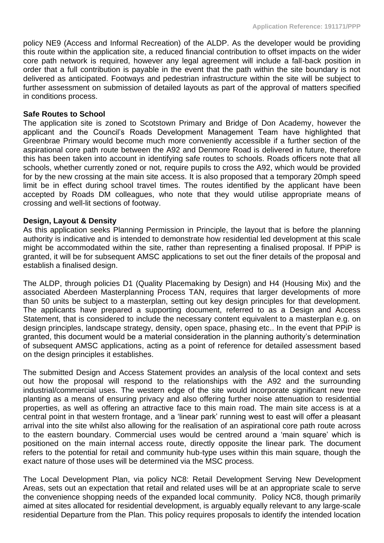policy NE9 (Access and Informal Recreation) of the ALDP. As the developer would be providing this route within the application site, a reduced financial contribution to offset impacts on the wider core path network is required, however any legal agreement will include a fall-back position in order that a full contribution is payable in the event that the path within the site boundary is not delivered as anticipated. Footways and pedestrian infrastructure within the site will be subject to further assessment on submission of detailed layouts as part of the approval of matters specified in conditions process.

### **Safe Routes to School**

The application site is zoned to Scotstown Primary and Bridge of Don Academy, however the applicant and the Council's Roads Development Management Team have highlighted that Greenbrae Primary would become much more conveniently accessible if a further section of the aspirational core path route between the A92 and Denmore Road is delivered in future, therefore this has been taken into account in identifying safe routes to schools. Roads officers note that all schools, whether currently zoned or not, require pupils to cross the A92, which would be provided for by the new crossing at the main site access. It is also proposed that a temporary 20mph speed limit be in effect during school travel times. The routes identified by the applicant have been accepted by Roads DM colleagues, who note that they would utilise appropriate means of crossing and well-lit sections of footway.

### **Design, Layout & Density**

As this application seeks Planning Permission in Principle, the layout that is before the planning authority is indicative and is intended to demonstrate how residential led development at this scale might be accommodated within the site, rather than representing a finalised proposal. If PPiP is granted, it will be for subsequent AMSC applications to set out the finer details of the proposal and establish a finalised design.

The ALDP, through policies D1 (Quality Placemaking by Design) and H4 (Housing Mix) and the associated Aberdeen Masterplanning Process TAN, requires that larger developments of more than 50 units be subject to a masterplan, setting out key design principles for that development. The applicants have prepared a supporting document, referred to as a Design and Access Statement, that is considered to include the necessary content equivalent to a masterplan e.g. on design principles, landscape strategy, density, open space, phasing etc.. In the event that PPiP is granted, this document would be a material consideration in the planning authority's determination of subsequent AMSC applications, acting as a point of reference for detailed assessment based on the design principles it establishes.

The submitted Design and Access Statement provides an analysis of the local context and sets out how the proposal will respond to the relationships with the A92 and the surrounding industrial/commercial uses. The western edge of the site would incorporate significant new tree planting as a means of ensuring privacy and also offering further noise attenuation to residential properties, as well as offering an attractive face to this main road. The main site access is at a central point in that western frontage, and a 'linear park' running west to east will offer a pleasant arrival into the site whilst also allowing for the realisation of an aspirational core path route across to the eastern boundary. Commercial uses would be centred around a 'main square' which is positioned on the main internal access route, directly opposite the linear park. The document refers to the potential for retail and community hub-type uses within this main square, though the exact nature of those uses will be determined via the MSC process.

The Local Development Plan, via policy NC8: Retail Development Serving New Development Areas, sets out an expectation that retail and related uses will be at an appropriate scale to serve the convenience shopping needs of the expanded local community. Policy NC8, though primarily aimed at sites allocated for residential development, is arguably equally relevant to any large-scale residential Departure from the Plan. This policy requires proposals to identify the intended location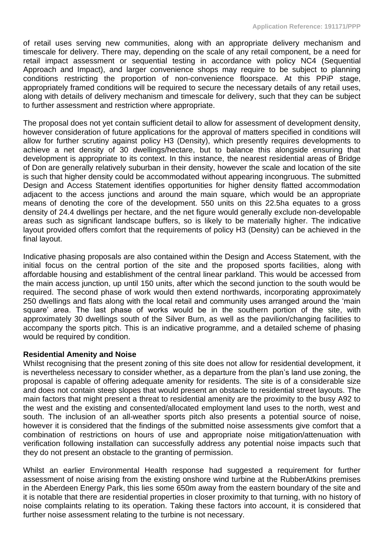of retail uses serving new communities, along with an appropriate delivery mechanism and timescale for delivery. There may, depending on the scale of any retail component, be a need for retail impact assessment or sequential testing in accordance with policy NC4 (Sequential Approach and Impact), and larger convenience shops may require to be subject to planning conditions restricting the proportion of non-convenience floorspace. At this PPiP stage, appropriately framed conditions will be required to secure the necessary details of any retail uses, along with details of delivery mechanism and timescale for delivery, such that they can be subject to further assessment and restriction where appropriate.

The proposal does not yet contain sufficient detail to allow for assessment of development density, however consideration of future applications for the approval of matters specified in conditions will allow for further scrutiny against policy H3 (Density), which presently requires developments to achieve a net density of 30 dwellings/hectare, but to balance this alongside ensuring that development is appropriate to its context. In this instance, the nearest residential areas of Bridge of Don are generally relatively suburban in their density, however the scale and location of the site is such that higher density could be accommodated without appearing incongruous. The submitted Design and Access Statement identifies opportunities for higher density flatted accommodation adjacent to the access junctions and around the main square, which would be an appropriate means of denoting the core of the development. 550 units on this 22.5ha equates to a gross density of 24.4 dwellings per hectare, and the net figure would generally exclude non-developable areas such as significant landscape buffers, so is likely to be materially higher. The indicative layout provided offers comfort that the requirements of policy H3 (Density) can be achieved in the final layout.

Indicative phasing proposals are also contained within the Design and Access Statement, with the initial focus on the central portion of the site and the proposed sports facilities, along with affordable housing and establishment of the central linear parkland. This would be accessed from the main access junction, up until 150 units, after which the second junction to the south would be required. The second phase of work would then extend northwards, incorporating approximately 250 dwellings and flats along with the local retail and community uses arranged around the 'main square' area. The last phase of works would be in the southern portion of the site, with approximately 30 dwellings south of the Silver Burn, as well as the pavilion/changing facilities to accompany the sports pitch. This is an indicative programme, and a detailed scheme of phasing would be required by condition.

#### **Residential Amenity and Noise**

Whilst recognising that the present zoning of this site does not allow for residential development, it is nevertheless necessary to consider whether, as a departure from the plan's land use zoning, the proposal is capable of offering adequate amenity for residents. The site is of a considerable size and does not contain steep slopes that would present an obstacle to residential street layouts. The main factors that might present a threat to residential amenity are the proximity to the busy A92 to the west and the existing and consented/allocated employment land uses to the north, west and south. The inclusion of an all-weather sports pitch also presents a potential source of noise, however it is considered that the findings of the submitted noise assessments give comfort that a combination of restrictions on hours of use and appropriate noise mitigation/attenuation with verification following installation can successfully address any potential noise impacts such that they do not present an obstacle to the granting of permission.

Whilst an earlier Environmental Health response had suggested a requirement for further assessment of noise arising from the existing onshore wind turbine at the RubberAtkins premises in the Aberdeen Energy Park, this lies some 650m away from the eastern boundary of the site and it is notable that there are residential properties in closer proximity to that turning, with no history of noise complaints relating to its operation. Taking these factors into account, it is considered that further noise assessment relating to the turbine is not necessary.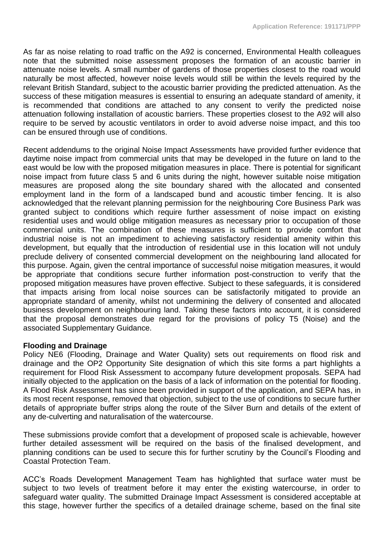As far as noise relating to road traffic on the A92 is concerned, Environmental Health colleagues note that the submitted noise assessment proposes the formation of an acoustic barrier in attenuate noise levels. A small number of gardens of those properties closest to the road would naturally be most affected, however noise levels would still be within the levels required by the relevant British Standard, subject to the acoustic barrier providing the predicted attenuation. As the success of these mitigation measures is essential to ensuring an adequate standard of amenity, it is recommended that conditions are attached to any consent to verify the predicted noise attenuation following installation of acoustic barriers. These properties closest to the A92 will also require to be served by acoustic ventilators in order to avoid adverse noise impact, and this too can be ensured through use of conditions.

Recent addendums to the original Noise Impact Assessments have provided further evidence that daytime noise impact from commercial units that may be developed in the future on land to the east would be low with the proposed mitigation measures in place. There is potential for significant noise impact from future class 5 and 6 units during the night, however suitable noise mitigation measures are proposed along the site boundary shared with the allocated and consented employment land in the form of a landscaped bund and acoustic timber fencing. It is also acknowledged that the relevant planning permission for the neighbouring Core Business Park was granted subject to conditions which require further assessment of noise impact on existing residential uses and would oblige mitigation measures as necessary prior to occupation of those commercial units. The combination of these measures is sufficient to provide comfort that industrial noise is not an impediment to achieving satisfactory residential amenity within this development, but equally that the introduction of residential use in this location will not unduly preclude delivery of consented commercial development on the neighbouring land allocated for this purpose. Again, given the central importance of successful noise mitigation measures, it would be appropriate that conditions secure further information post-construction to verify that the proposed mitigation measures have proven effective. Subject to these safeguards, it is considered that impacts arising from local noise sources can be satisfactorily mitigated to provide an appropriate standard of amenity, whilst not undermining the delivery of consented and allocated business development on neighbouring land. Taking these factors into account, it is considered that the proposal demonstrates due regard for the provisions of policy T5 (Noise) and the associated Supplementary Guidance.

# **Flooding and Drainage**

Policy NE6 (Flooding, Drainage and Water Quality) sets out requirements on flood risk and drainage and the OP2 Opportunity Site designation of which this site forms a part highlights a requirement for Flood Risk Assessment to accompany future development proposals. SEPA had initially objected to the application on the basis of a lack of information on the potential for flooding. A Flood Risk Assessment has since been provided in support of the application, and SEPA has, in its most recent response, removed that objection, subject to the use of conditions to secure further details of appropriate buffer strips along the route of the Silver Burn and details of the extent of any de-culverting and naturalisation of the watercourse.

These submissions provide comfort that a development of proposed scale is achievable, however further detailed assessment will be required on the basis of the finalised development, and planning conditions can be used to secure this for further scrutiny by the Council's Flooding and Coastal Protection Team.

ACC's Roads Development Management Team has highlighted that surface water must be subject to two levels of treatment before it may enter the existing watercourse, in order to safeguard water quality. The submitted Drainage Impact Assessment is considered acceptable at this stage, however further the specifics of a detailed drainage scheme, based on the final site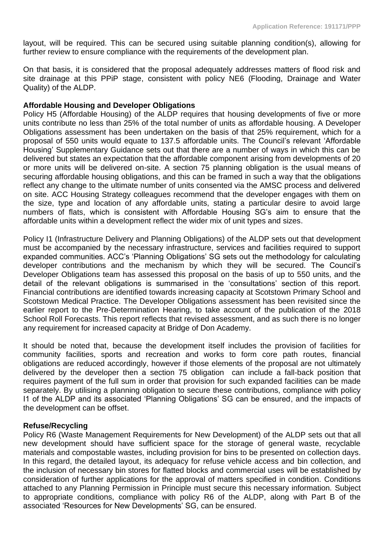layout, will be required. This can be secured using suitable planning condition(s), allowing for further review to ensure compliance with the requirements of the development plan.

On that basis, it is considered that the proposal adequately addresses matters of flood risk and site drainage at this PPiP stage, consistent with policy NE6 (Flooding, Drainage and Water Quality) of the ALDP.

### **Affordable Housing and Developer Obligations**

Policy H5 (Affordable Housing) of the ALDP requires that housing developments of five or more units contribute no less than 25% of the total number of units as affordable housing. A Developer Obligations assessment has been undertaken on the basis of that 25% requirement, which for a proposal of 550 units would equate to 137.5 affordable units. The Council's relevant 'Affordable Housing' Supplementary Guidance sets out that there are a number of ways in which this can be delivered but states an expectation that the affordable component arising from developments of 20 or more units will be delivered on-site. A section 75 planning obligation is the usual means of securing affordable housing obligations, and this can be framed in such a way that the obligations reflect any change to the ultimate number of units consented via the AMSC process and delivered on site. ACC Housing Strategy colleagues recommend that the developer engages with them on the size, type and location of any affordable units, stating a particular desire to avoid large numbers of flats, which is consistent with Affordable Housing SG's aim to ensure that the affordable units within a development reflect the wider mix of unit types and sizes.

Policy I1 (Infrastructure Delivery and Planning Obligations) of the ALDP sets out that development must be accompanied by the necessary infrastructure, services and facilities required to support expanded communities. ACC's 'Planning Obligations' SG sets out the methodology for calculating developer contributions and the mechanism by which they will be secured. The Council's Developer Obligations team has assessed this proposal on the basis of up to 550 units, and the detail of the relevant obligations is summarised in the 'consultations' section of this report. Financial contributions are identified towards increasing capacity at Scotstown Primary School and Scotstown Medical Practice. The Developer Obligations assessment has been revisited since the earlier report to the Pre-Determination Hearing, to take account of the publication of the 2018 School Roll Forecasts. This report reflects that revised assessment, and as such there is no longer any requirement for increased capacity at Bridge of Don Academy.

It should be noted that, because the development itself includes the provision of facilities for community facilities, sports and recreation and works to form core path routes, financial obligations are reduced accordingly, however if those elements of the proposal are not ultimately delivered by the developer then a section 75 obligation can include a fall-back position that requires payment of the full sum in order that provision for such expanded facilities can be made separately. By utilising a planning obligation to secure these contributions, compliance with policy I1 of the ALDP and its associated 'Planning Obligations' SG can be ensured, and the impacts of the development can be offset.

# **Refuse/Recycling**

Policy R6 (Waste Management Requirements for New Development) of the ALDP sets out that all new development should have sufficient space for the storage of general waste, recyclable materials and compostable wastes, including provision for bins to be presented on collection days. In this regard, the detailed layout, its adequacy for refuse vehicle access and bin collection, and the inclusion of necessary bin stores for flatted blocks and commercial uses will be established by consideration of further applications for the approval of matters specified in condition. Conditions attached to any Planning Permission in Principle must secure this necessary information. Subject to appropriate conditions, compliance with policy R6 of the ALDP, along with Part B of the associated 'Resources for New Developments' SG, can be ensured.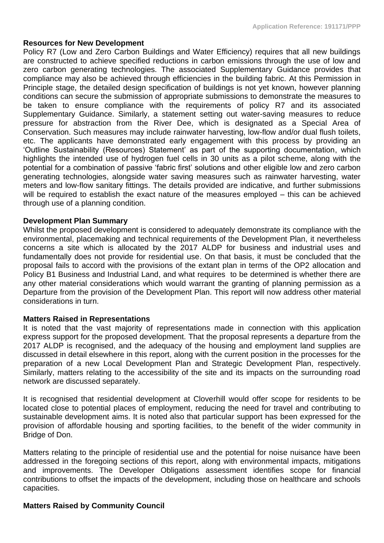#### **Resources for New Development**

Policy R7 (Low and Zero Carbon Buildings and Water Efficiency) requires that all new buildings are constructed to achieve specified reductions in carbon emissions through the use of low and zero carbon generating technologies. The associated Supplementary Guidance provides that compliance may also be achieved through efficiencies in the building fabric. At this Permission in Principle stage, the detailed design specification of buildings is not yet known, however planning conditions can secure the submission of appropriate submissions to demonstrate the measures to be taken to ensure compliance with the requirements of policy R7 and its associated Supplementary Guidance. Similarly, a statement setting out water-saving measures to reduce pressure for abstraction from the River Dee, which is designated as a Special Area of Conservation. Such measures may include rainwater harvesting, low-flow and/or dual flush toilets, etc. The applicants have demonstrated early engagement with this process by providing an 'Outline Sustainability (Resources) Statement' as part of the supporting documentation, which highlights the intended use of hydrogen fuel cells in 30 units as a pilot scheme, along with the potential for a combination of passive 'fabric first' solutions and other eligible low and zero carbon generating technologies, alongside water saving measures such as rainwater harvesting, water meters and low-flow sanitary fittings. The details provided are indicative, and further submissions will be required to establish the exact nature of the measures emploved – this can be achieved through use of a planning condition.

### **Development Plan Summary**

Whilst the proposed development is considered to adequately demonstrate its compliance with the environmental, placemaking and technical requirements of the Development Plan, it nevertheless concerns a site which is allocated by the 2017 ALDP for business and industrial uses and fundamentally does not provide for residential use. On that basis, it must be concluded that the proposal fails to accord with the provisions of the extant plan in terms of the OP2 allocation and Policy B1 Business and Industrial Land, and what requires to be determined is whether there are any other material considerations which would warrant the granting of planning permission as a Departure from the provision of the Development Plan. This report will now address other material considerations in turn.

#### **Matters Raised in Representations**

It is noted that the vast majority of representations made in connection with this application express support for the proposed development. That the proposal represents a departure from the 2017 ALDP is recognised, and the adequacy of the housing and employment land supplies are discussed in detail elsewhere in this report, along with the current position in the processes for the preparation of a new Local Development Plan and Strategic Development Plan, respectively. Similarly, matters relating to the accessibility of the site and its impacts on the surrounding road network are discussed separately.

It is recognised that residential development at Cloverhill would offer scope for residents to be located close to potential places of employment, reducing the need for travel and contributing to sustainable development aims. It is noted also that particular support has been expressed for the provision of affordable housing and sporting facilities, to the benefit of the wider community in Bridge of Don.

Matters relating to the principle of residential use and the potential for noise nuisance have been addressed in the foregoing sections of this report, along with environmental impacts, mitigations and improvements. The Developer Obligations assessment identifies scope for financial contributions to offset the impacts of the development, including those on healthcare and schools capacities.

# **Matters Raised by Community Council**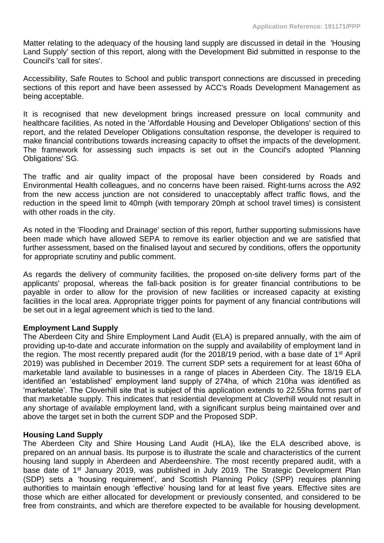Matter relating to the adequacy of the housing land supply are discussed in detail in the 'Housing Land Supply' section of this report, along with the Development Bid submitted in response to the Council's 'call for sites'.

Accessibility, Safe Routes to School and public transport connections are discussed in preceding sections of this report and have been assessed by ACC's Roads Development Management as being acceptable.

It is recognised that new development brings increased pressure on local community and healthcare facilities. As noted in the 'Affordable Housing and Developer Obligations' section of this report, and the related Developer Obligations consultation response, the developer is required to make financial contributions towards increasing capacity to offset the impacts of the development. The framework for assessing such impacts is set out in the Council's adopted 'Planning Obligations' SG.

The traffic and air quality impact of the proposal have been considered by Roads and Environmental Health colleagues, and no concerns have been raised. Right-turns across the A92 from the new access junction are not considered to unacceptably affect traffic flows, and the reduction in the speed limit to 40mph (with temporary 20mph at school travel times) is consistent with other roads in the city.

As noted in the 'Flooding and Drainage' section of this report, further supporting submissions have been made which have allowed SEPA to remove its earlier objection and we are satisfied that further assessment, based on the finalised layout and secured by conditions, offers the opportunity for appropriate scrutiny and public comment.

As regards the delivery of community facilities, the proposed on-site delivery forms part of the applicants' proposal, whereas the fall-back position is for greater financial contributions to be payable in order to allow for the provision of new facilities or increased capacity at existing facilities in the local area. Appropriate trigger points for payment of any financial contributions will be set out in a legal agreement which is tied to the land.

# **Employment Land Supply**

The Aberdeen City and Shire Employment Land Audit (ELA) is prepared annually, with the aim of providing up-to-date and accurate information on the supply and availability of employment land in the region. The most recently prepared audit (for the 2018/19 period, with a base date of 1<sup>st</sup> April 2019) was published in December 2019. The current SDP sets a requirement for at least 60ha of marketable land available to businesses in a range of places in Aberdeen City. The 18/19 ELA identified an 'established' employment land supply of 274ha, of which 210ha was identified as 'marketable'. The Cloverhill site that is subject of this application extends to 22.55ha forms part of that marketable supply. This indicates that residential development at Cloverhill would not result in any shortage of available employment land, with a significant surplus being maintained over and above the target set in both the current SDP and the Proposed SDP.

# **Housing Land Supply**

The Aberdeen City and Shire Housing Land Audit (HLA), like the ELA described above, is prepared on an annual basis. Its purpose is to illustrate the scale and characteristics of the current housing land supply in Aberdeen and Aberdeenshire. The most recently prepared audit, with a base date of 1<sup>st</sup> January 2019, was published in July 2019. The Strategic Development Plan (SDP) sets a 'housing requirement', and Scottish Planning Policy (SPP) requires planning authorities to maintain enough 'effective' housing land for at least five years. Effective sites are those which are either allocated for development or previously consented, and considered to be free from constraints, and which are therefore expected to be available for housing development.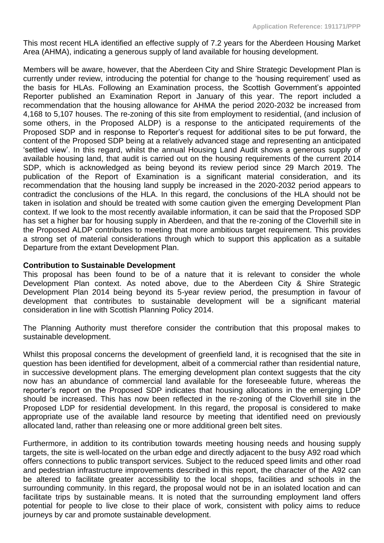This most recent HLA identified an effective supply of 7.2 years for the Aberdeen Housing Market Area (AHMA), indicating a generous supply of land available for housing development.

Members will be aware, however, that the Aberdeen City and Shire Strategic Development Plan is currently under review, introducing the potential for change to the 'housing requirement' used as the basis for HLAs. Following an Examination process, the Scottish Government's appointed Reporter published an Examination Report in January of this year. The report included a recommendation that the housing allowance for AHMA the period 2020-2032 be increased from 4,168 to 5,107 houses. The re-zoning of this site from employment to residential, (and inclusion of some others, in the Proposed ALDP) is a response to the anticipated requirements of the Proposed SDP and in response to Reporter's request for additional sites to be put forward, the content of the Proposed SDP being at a relatively advanced stage and representing an anticipated 'settled view'. In this regard, whilst the annual Housing Land Audit shows a generous supply of available housing land, that audit is carried out on the housing requirements of the current 2014 SDP, which is acknowledged as being beyond its review period since 29 March 2019. The publication of the Report of Examination is a significant material consideration, and its recommendation that the housing land supply be increased in the 2020-2032 period appears to contradict the conclusions of the HLA. In this regard, the conclusions of the HLA should not be taken in isolation and should be treated with some caution given the emerging Development Plan context. If we look to the most recently available information, it can be said that the Proposed SDP has set a higher bar for housing supply in Aberdeen, and that the re-zoning of the Cloverhill site in the Proposed ALDP contributes to meeting that more ambitious target requirement. This provides a strong set of material considerations through which to support this application as a suitable Departure from the extant Development Plan.

# **Contribution to Sustainable Development**

This proposal has been found to be of a nature that it is relevant to consider the whole Development Plan context. As noted above, due to the Aberdeen City & Shire Strategic Development Plan 2014 being beyond its 5-year review period, the presumption in favour of development that contributes to sustainable development will be a significant material consideration in line with Scottish Planning Policy 2014.

The Planning Authority must therefore consider the contribution that this proposal makes to sustainable development.

Whilst this proposal concerns the development of greenfield land, it is recognised that the site in question has been identified for development, albeit of a commercial rather than residential nature, in successive development plans. The emerging development plan context suggests that the city now has an abundance of commercial land available for the foreseeable future, whereas the reporter's report on the Proposed SDP indicates that housing allocations in the emerging LDP should be increased. This has now been reflected in the re-zoning of the Cloverhill site in the Proposed LDP for residential development. In this regard, the proposal is considered to make appropriate use of the available land resource by meeting that identified need on previously allocated land, rather than releasing one or more additional green belt sites.

Furthermore, in addition to its contribution towards meeting housing needs and housing supply targets, the site is well-located on the urban edge and directly adjacent to the busy A92 road which offers connections to public transport services. Subject to the reduced speed limits and other road and pedestrian infrastructure improvements described in this report, the character of the A92 can be altered to facilitate greater accessibility to the local shops, facilities and schools in the surrounding community. In this regard, the proposal would not be in an isolated location and can facilitate trips by sustainable means. It is noted that the surrounding employment land offers potential for people to live close to their place of work, consistent with policy aims to reduce journeys by car and promote sustainable development.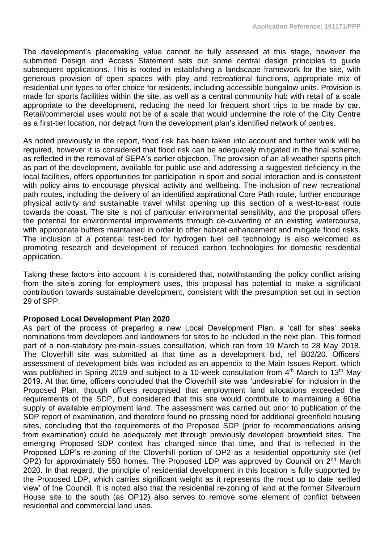The development's placemaking value cannot be fully assessed at this stage, however the submitted Design and Access Statement sets out some central design principles to guide subsequent applications. This is rooted in establishing a landscape framework for the site, with generous provision of open spaces with play and recreational functions, appropriate mix of residential unit types to offer choice for residents, including accessible bungalow units. Provision is made for sports facilities within the site, as well as a central community hub with retail of a scale appropriate to the development, reducing the need for frequent short trips to be made by car. Retail/commercial uses would not be of a scale that would undermine the role of the City Centre as a first-tier location, nor detract from the development plan's identified network of centres.

As noted previously in the report, flood risk has been taken into account and further work will be required, however it is considered that flood risk can be adequately mitigated in the final scheme, as reflected in the removal of SEPA's earlier objection. The provision of an all-weather sports pitch as part of the development, available for public use and addressing a suggested deficiency in the local facilities, offers opportunities for participation in sport and social interaction and is consistent with policy aims to encourage physical activity and wellbeing. The inclusion of new recreational path routes, including the delivery of an identified aspirational Core Path route, further encourage physical activity and sustainable travel whilst opening up this section of a west-to-east route towards the coast. The site is not of particular environmental sensitivity, and the proposal offers the potential for environmental improvements through de-culverting of an existing watercourse, with appropriate buffers maintained in order to offer habitat enhancement and mitigate flood risks. The inclusion of a potential test-bed for hydrogen fuel cell technology is also welcomed as promoting research and development of reduced carbon technologies for domestic residential application.

Taking these factors into account it is considered that, notwithstanding the policy conflict arising from the site's zoning for employment uses, this proposal has potential to make a significant contribution towards sustainable development, consistent with the presumption set out in section 29 of SPP.

# **Proposed Local Development Plan 2020**

As part of the process of preparing a new Local Development Plan, a 'call for sites' seeks nominations from developers and landowners for sites to be included in the next plan. This formed part of a non-statutory pre-main-issues consultation, which ran from 19 March to 28 May 2018. The Cloverhill site was submitted at that time as a development bid, ref B02/20. Officers' assessment of development bids was included as an appendix to the Main Issues Report, which was published in Spring 2019 and subject to a 10-week consultation from 4<sup>th</sup> March to 13<sup>th</sup> May 2019. At that time, officers concluded that the Cloverhill site was 'undesirable' for inclusion in the Proposed Plan, though officers recognised that employment land allocations exceeded the requirements of the SDP, but considered that this site would contribute to maintaining a 60ha supply of available employment land. The assessment was carried out prior to publication of the SDP report of examination, and therefore found no pressing need for additional greenfield housing sites, concluding that the requirements of the Proposed SDP (prior to recommendations arising from examination) could be adequately met through previously developed brownfield sites. The emerging Proposed SDP context has changed since that time, and that is reflected in the Proposed LDP's re-zoning of the Cloverhill portion of OP2 as a residential opportunity site (ref OP2) for approximately 550 homes. The Proposed LDP was approved by Council on 2<sup>nd</sup> March 2020. In that regard, the principle of residential development in this location is fully supported by the Proposed LDP, which carries significant weight as it represents the most up to date 'settled view' of the Council. It is noted also that the residential re-zoning of land at the former Silverburn House site to the south (as OP12) also serves to remove some element of conflict between residential and commercial land uses.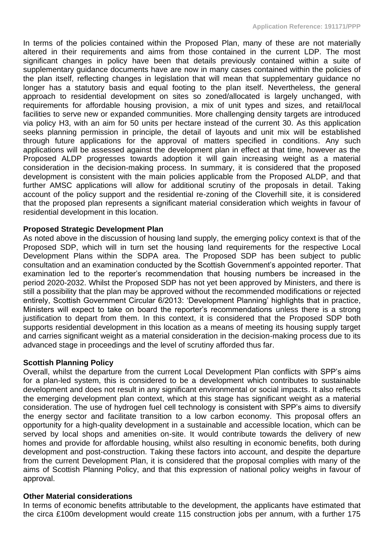In terms of the policies contained within the Proposed Plan, many of these are not materially altered in their requirements and aims from those contained in the current LDP. The most significant changes in policy have been that details previously contained within a suite of supplementary guidance documents have are now in many cases contained within the policies of the plan itself, reflecting changes in legislation that will mean that supplementary guidance no longer has a statutory basis and equal footing to the plan itself. Nevertheless, the general approach to residential development on sites so zoned/allocated is largely unchanged, with requirements for affordable housing provision, a mix of unit types and sizes, and retail/local facilities to serve new or expanded communities. More challenging density targets are introduced via policy H3, with an aim for 50 units per hectare instead of the current 30. As this application seeks planning permission in principle, the detail of layouts and unit mix will be established through future applications for the approval of matters specified in conditions. Any such applications will be assessed against the development plan in effect at that time, however as the Proposed ALDP progresses towards adoption it will gain increasing weight as a material consideration in the decision-making process. In summary, it is considered that the proposed development is consistent with the main policies applicable from the Proposed ALDP, and that further AMSC applications will allow for additional scrutiny of the proposals in detail. Taking account of the policy support and the residential re-zoning of the Cloverhill site, it is considered that the proposed plan represents a significant material consideration which weights in favour of residential development in this location.

### **Proposed Strategic Development Plan**

As noted above in the discussion of housing land supply, the emerging policy context is that of the Proposed SDP, which will in turn set the housing land requirements for the respective Local Development Plans within the SDPA area. The Proposed SDP has been subject to public consultation and an examination conducted by the Scottish Government's appointed reporter. That examination led to the reporter's recommendation that housing numbers be increased in the period 2020-2032. Whilst the Proposed SDP has not yet been approved by Ministers, and there is still a possibility that the plan may be approved without the recommended modifications or rejected entirely, Scottish Government Circular 6/2013: 'Development Planning' highlights that in practice, Ministers will expect to take on board the reporter's recommendations unless there is a strong justification to depart from them. In this context, it is considered that the Proposed SDP both supports residential development in this location as a means of meeting its housing supply target and carries significant weight as a material consideration in the decision-making process due to its advanced stage in proceedings and the level of scrutiny afforded thus far.

#### **Scottish Planning Policy**

Overall, whilst the departure from the current Local Development Plan conflicts with SPP's aims for a plan-led system, this is considered to be a development which contributes to sustainable development and does not result in any significant environmental or social impacts. It also reflects the emerging development plan context, which at this stage has significant weight as a material consideration. The use of hydrogen fuel cell technology is consistent with SPP's aims to diversify the energy sector and facilitate transition to a low carbon economy. This proposal offers an opportunity for a high-quality development in a sustainable and accessible location, which can be served by local shops and amenities on-site. It would contribute towards the delivery of new homes and provide for affordable housing, whilst also resulting in economic benefits, both during development and post-construction. Taking these factors into account, and despite the departure from the current Development Plan, it is considered that the proposal complies with many of the aims of Scottish Planning Policy, and that this expression of national policy weighs in favour of approval.

#### **Other Material considerations**

In terms of economic benefits attributable to the development, the applicants have estimated that the circa £100m development would create 115 construction jobs per annum, with a further 175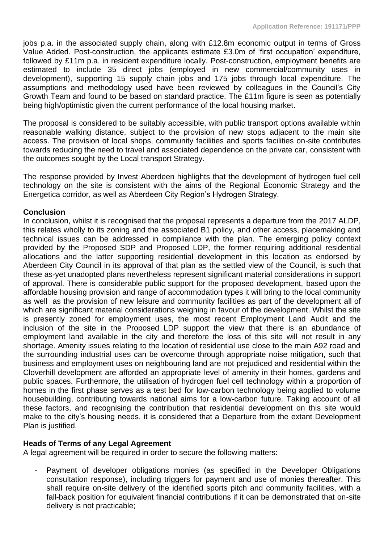iobs p.a. in the associated supply chain, along with £12.8m economic output in terms of Gross Value Added. Post-construction, the applicants estimate £3.0m of 'first occupation' expenditure, followed by £11m p.a. in resident expenditure locally. Post-construction, employment benefits are estimated to include 35 direct jobs (employed in new commercial/community uses in development), supporting 15 supply chain jobs and 175 jobs through local expenditure. The assumptions and methodology used have been reviewed by colleagues in the Council's City Growth Team and found to be based on standard practice. The £11m figure is seen as potentially being high/optimistic given the current performance of the local housing market.

The proposal is considered to be suitably accessible, with public transport options available within reasonable walking distance, subject to the provision of new stops adjacent to the main site access. The provision of local shops, community facilities and sports facilities on-site contributes towards reducing the need to travel and associated dependence on the private car, consistent with the outcomes sought by the Local transport Strategy.

The response provided by Invest Aberdeen highlights that the development of hydrogen fuel cell technology on the site is consistent with the aims of the Regional Economic Strategy and the Energetica corridor, as well as Aberdeen City Region's Hydrogen Strategy.

# **Conclusion**

In conclusion, whilst it is recognised that the proposal represents a departure from the 2017 ALDP, this relates wholly to its zoning and the associated B1 policy, and other access, placemaking and technical issues can be addressed in compliance with the plan. The emerging policy context provided by the Proposed SDP and Proposed LDP, the former requiring additional residential allocations and the latter supporting residential development in this location as endorsed by Aberdeen City Council in its approval of that plan as the settled view of the Council, is such that these as-yet unadopted plans nevertheless represent significant material considerations in support of approval. There is considerable public support for the proposed development, based upon the affordable housing provision and range of accommodation types it will bring to the local community as well as the provision of new leisure and community facilities as part of the development all of which are significant material considerations weighing in favour of the development. Whilst the site is presently zoned for employment uses, the most recent Employment Land Audit and the inclusion of the site in the Proposed LDP support the view that there is an abundance of employment land available in the city and therefore the loss of this site will not result in any shortage. Amenity issues relating to the location of residential use close to the main A92 road and the surrounding industrial uses can be overcome through appropriate noise mitigation, such that business and employment uses on neighbouring land are not prejudiced and residential within the Cloverhill development are afforded an appropriate level of amenity in their homes, gardens and public spaces. Furthermore, the utilisation of hydrogen fuel cell technology within a proportion of homes in the first phase serves as a test bed for low-carbon technology being applied to volume housebuilding, contributing towards national aims for a low-carbon future. Taking account of all these factors, and recognising the contribution that residential development on this site would make to the city's housing needs, it is considered that a Departure from the extant Development Plan is justified.

# **Heads of Terms of any Legal Agreement**

A legal agreement will be required in order to secure the following matters:

Payment of developer obligations monies (as specified in the Developer Obligations consultation response), including triggers for payment and use of monies thereafter. This shall require on-site delivery of the identified sports pitch and community facilities, with a fall-back position for equivalent financial contributions if it can be demonstrated that on-site delivery is not practicable;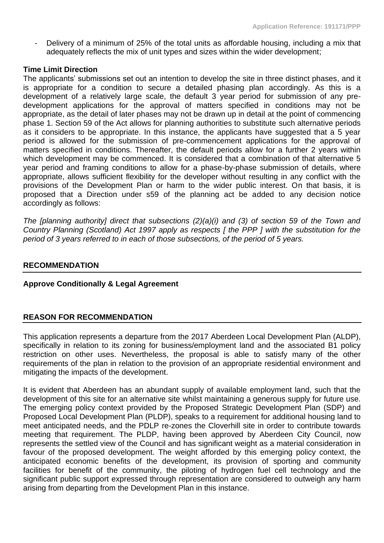Delivery of a minimum of 25% of the total units as affordable housing, including a mix that adequately reflects the mix of unit types and sizes within the wider development;

### **Time Limit Direction**

The applicants' submissions set out an intention to develop the site in three distinct phases, and it is appropriate for a condition to secure a detailed phasing plan accordingly. As this is a development of a relatively large scale, the default 3 year period for submission of any predevelopment applications for the approval of matters specified in conditions may not be appropriate, as the detail of later phases may not be drawn up in detail at the point of commencing phase 1. Section 59 of the Act allows for planning authorities to substitute such alternative periods as it considers to be appropriate. In this instance, the applicants have suggested that a 5 year period is allowed for the submission of pre-commencement applications for the approval of matters specified in conditions. Thereafter, the default periods allow for a further 2 years within which development may be commenced. It is considered that a combination of that alternative 5 year period and framing conditions to allow for a phase-by-phase submission of details, where appropriate, allows sufficient flexibility for the developer without resulting in any conflict with the provisions of the Development Plan or harm to the wider public interest. On that basis, it is proposed that a Direction under s59 of the planning act be added to any decision notice accordingly as follows:

*The [planning authority] direct that subsections (2)(a)(i) and (3) of section 59 of the Town and Country Planning (Scotland) Act 1997 apply as respects [ the PPP ] with the substitution for the period of 3 years referred to in each of those subsections, of the period of 5 years.*

### **RECOMMENDATION**

# **Approve Conditionally & Legal Agreement**

# **REASON FOR RECOMMENDATION**

This application represents a departure from the 2017 Aberdeen Local Development Plan (ALDP), specifically in relation to its zoning for business/employment land and the associated B1 policy restriction on other uses. Nevertheless, the proposal is able to satisfy many of the other requirements of the plan in relation to the provision of an appropriate residential environment and mitigating the impacts of the development.

It is evident that Aberdeen has an abundant supply of available employment land, such that the development of this site for an alternative site whilst maintaining a generous supply for future use. The emerging policy context provided by the Proposed Strategic Development Plan (SDP) and Proposed Local Development Plan (PLDP), speaks to a requirement for additional housing land to meet anticipated needs, and the PDLP re-zones the Cloverhill site in order to contribute towards meeting that requirement. The PLDP, having been approved by Aberdeen City Council, now represents the settled view of the Council and has significant weight as a material consideration in favour of the proposed development. The weight afforded by this emerging policy context, the anticipated economic benefits of the development, its provision of sporting and community facilities for benefit of the community, the piloting of hydrogen fuel cell technology and the significant public support expressed through representation are considered to outweigh any harm arising from departing from the Development Plan in this instance.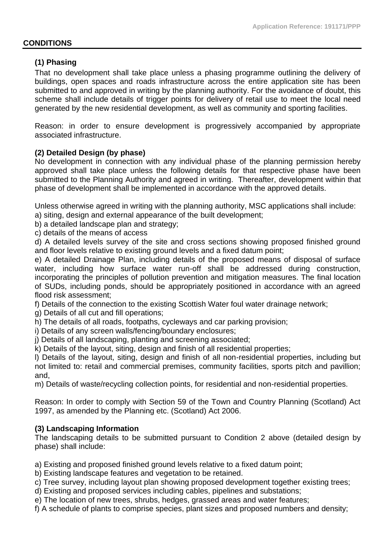#### **CONDITIONS**

### **(1) Phasing**

That no development shall take place unless a phasing programme outlining the delivery of buildings, open spaces and roads infrastructure across the entire application site has been submitted to and approved in writing by the planning authority. For the avoidance of doubt, this scheme shall include details of trigger points for delivery of retail use to meet the local need generated by the new residential development, as well as community and sporting facilities.

Reason: in order to ensure development is progressively accompanied by appropriate associated infrastructure.

#### **(2) Detailed Design (by phase)**

No development in connection with any individual phase of the planning permission hereby approved shall take place unless the following details for that respective phase have been submitted to the Planning Authority and agreed in writing. Thereafter, development within that phase of development shall be implemented in accordance with the approved details.

Unless otherwise agreed in writing with the planning authority, MSC applications shall include:

- a) siting, design and external appearance of the built development;
- b) a detailed landscape plan and strategy;
- c) details of the means of access

d) A detailed levels survey of the site and cross sections showing proposed finished ground and floor levels relative to existing ground levels and a fixed datum point;

e) A detailed Drainage Plan, including details of the proposed means of disposal of surface water, including how surface water run-off shall be addressed during construction, incorporating the principles of pollution prevention and mitigation measures. The final location of SUDs, including ponds, should be appropriately positioned in accordance with an agreed flood risk assessment;

f) Details of the connection to the existing Scottish Water foul water drainage network;

- g) Details of all cut and fill operations;
- h) The details of all roads, footpaths, cycleways and car parking provision;
- i) Details of any screen walls/fencing/boundary enclosures;
- j) Details of all landscaping, planting and screening associated;
- k) Details of the layout, siting, design and finish of all residential properties;

l) Details of the layout, siting, design and finish of all non-residential properties, including but not limited to: retail and commercial premises, community facilities, sports pitch and pavillion; and,

m) Details of waste/recycling collection points, for residential and non-residential properties.

Reason: In order to comply with Section 59 of the Town and Country Planning (Scotland) Act 1997, as amended by the Planning etc. (Scotland) Act 2006.

#### **(3) Landscaping Information**

The landscaping details to be submitted pursuant to Condition 2 above (detailed design by phase) shall include:

a) Existing and proposed finished ground levels relative to a fixed datum point;

- b) Existing landscape features and vegetation to be retained.
- c) Tree survey, including layout plan showing proposed development together existing trees;
- d) Existing and proposed services including cables, pipelines and substations;
- e) The location of new trees, shrubs, hedges, grassed areas and water features;

f) A schedule of plants to comprise species, plant sizes and proposed numbers and density;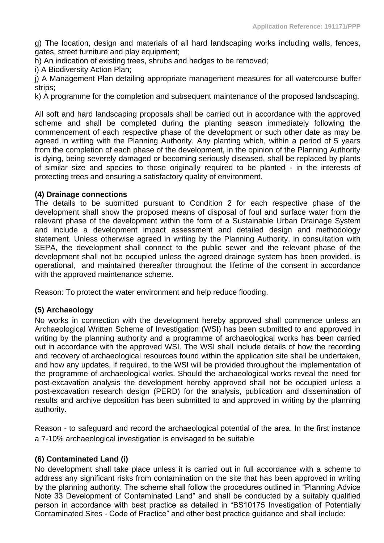g) The location, design and materials of all hard landscaping works including walls, fences, gates, street furniture and play equipment;

h) An indication of existing trees, shrubs and hedges to be removed;

i) A Biodiversity Action Plan;

j) A Management Plan detailing appropriate management measures for all watercourse buffer strips;

k) A programme for the completion and subsequent maintenance of the proposed landscaping.

All soft and hard landscaping proposals shall be carried out in accordance with the approved scheme and shall be completed during the planting season immediately following the commencement of each respective phase of the development or such other date as may be agreed in writing with the Planning Authority. Any planting which, within a period of 5 years from the completion of each phase of the development, in the opinion of the Planning Authority is dying, being severely damaged or becoming seriously diseased, shall be replaced by plants of similar size and species to those originally required to be planted - in the interests of protecting trees and ensuring a satisfactory quality of environment.

### **(4) Drainage connections**

The details to be submitted pursuant to Condition 2 for each respective phase of the development shall show the proposed means of disposal of foul and surface water from the relevant phase of the development within the form of a Sustainable Urban Drainage System and include a development impact assessment and detailed design and methodology statement. Unless otherwise agreed in writing by the Planning Authority, in consultation with SEPA, the development shall connect to the public sewer and the relevant phase of the development shall not be occupied unless the agreed drainage system has been provided, is operational, and maintained thereafter throughout the lifetime of the consent in accordance with the approved maintenance scheme.

Reason: To protect the water environment and help reduce flooding.

# **(5) Archaeology**

No works in connection with the development hereby approved shall commence unless an Archaeological Written Scheme of Investigation (WSI) has been submitted to and approved in writing by the planning authority and a programme of archaeological works has been carried out in accordance with the approved WSI. The WSI shall include details of how the recording and recovery of archaeological resources found within the application site shall be undertaken, and how any updates, if required, to the WSI will be provided throughout the implementation of the programme of archaeological works. Should the archaeological works reveal the need for post-excavation analysis the development hereby approved shall not be occupied unless a post-excavation research design (PERD) for the analysis, publication and dissemination of results and archive deposition has been submitted to and approved in writing by the planning authority.

Reason - to safeguard and record the archaeological potential of the area. In the first instance a 7-10% archaeological investigation is envisaged to be suitable

# **(6) Contaminated Land (i)**

No development shall take place unless it is carried out in full accordance with a scheme to address any significant risks from contamination on the site that has been approved in writing by the planning authority. The scheme shall follow the procedures outlined in "Planning Advice Note 33 Development of Contaminated Land" and shall be conducted by a suitably qualified person in accordance with best practice as detailed in "BS10175 Investigation of Potentially Contaminated Sites - Code of Practice" and other best practice guidance and shall include: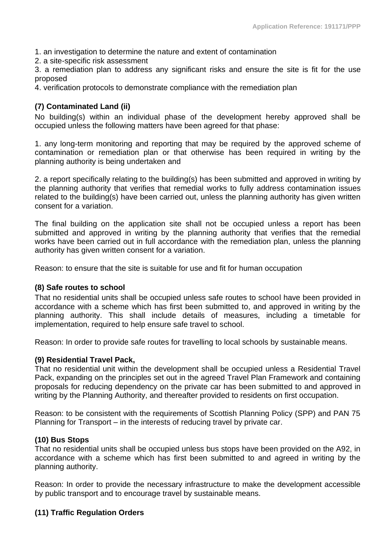1. an investigation to determine the nature and extent of contamination

2. a site-specific risk assessment

3. a remediation plan to address any significant risks and ensure the site is fit for the use proposed

4. verification protocols to demonstrate compliance with the remediation plan

# **(7) Contaminated Land (ii)**

No building(s) within an individual phase of the development hereby approved shall be occupied unless the following matters have been agreed for that phase:

1. any long-term monitoring and reporting that may be required by the approved scheme of contamination or remediation plan or that otherwise has been required in writing by the planning authority is being undertaken and

2. a report specifically relating to the building(s) has been submitted and approved in writing by the planning authority that verifies that remedial works to fully address contamination issues related to the building(s) have been carried out, unless the planning authority has given written consent for a variation.

The final building on the application site shall not be occupied unless a report has been submitted and approved in writing by the planning authority that verifies that the remedial works have been carried out in full accordance with the remediation plan, unless the planning authority has given written consent for a variation.

Reason: to ensure that the site is suitable for use and fit for human occupation

# **(8) Safe routes to school**

That no residential units shall be occupied unless safe routes to school have been provided in accordance with a scheme which has first been submitted to, and approved in writing by the planning authority. This shall include details of measures, including a timetable for implementation, required to help ensure safe travel to school.

Reason: In order to provide safe routes for travelling to local schools by sustainable means.

#### **(9) Residential Travel Pack,**

That no residential unit within the development shall be occupied unless a Residential Travel Pack, expanding on the principles set out in the agreed Travel Plan Framework and containing proposals for reducing dependency on the private car has been submitted to and approved in writing by the Planning Authority, and thereafter provided to residents on first occupation.

Reason: to be consistent with the requirements of Scottish Planning Policy (SPP) and PAN 75 Planning for Transport – in the interests of reducing travel by private car.

# **(10) Bus Stops**

That no residential units shall be occupied unless bus stops have been provided on the A92, in accordance with a scheme which has first been submitted to and agreed in writing by the planning authority.

Reason: In order to provide the necessary infrastructure to make the development accessible by public transport and to encourage travel by sustainable means.

# **(11) Traffic Regulation Orders**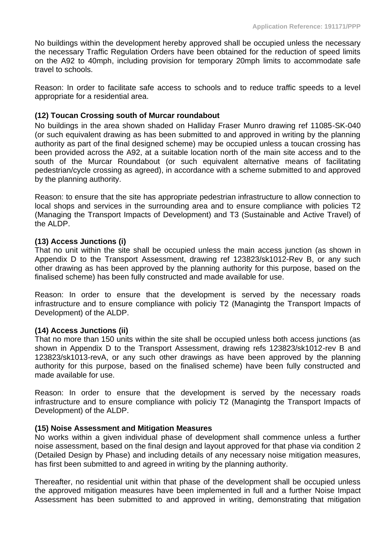No buildings within the development hereby approved shall be occupied unless the necessary the necessary Traffic Regulation Orders have been obtained for the reduction of speed limits on the A92 to 40mph, including provision for temporary 20mph limits to accommodate safe travel to schools.

Reason: In order to facilitate safe access to schools and to reduce traffic speeds to a level appropriate for a residential area.

# **(12) Toucan Crossing south of Murcar roundabout**

No buildings in the area shown shaded on Halliday Fraser Munro drawing ref 11085-SK-040 (or such equivalent drawing as has been submitted to and approved in writing by the planning authority as part of the final designed scheme) may be occupied unless a toucan crossing has been provided across the A92, at a suitable location north of the main site access and to the south of the Murcar Roundabout (or such equivalent alternative means of facilitating pedestrian/cycle crossing as agreed), in accordance with a scheme submitted to and approved by the planning authority.

Reason: to ensure that the site has appropriate pedestrian infrastructure to allow connection to local shops and services in the surrounding area and to ensure compliance with policies T2 (Managing the Transport Impacts of Development) and T3 (Sustainable and Active Travel) of the ALDP.

### **(13) Access Junctions (i)**

That no unit within the site shall be occupied unless the main access junction (as shown in Appendix D to the Transport Assessment, drawing ref 123823/sk1012-Rev B, or any such other drawing as has been approved by the planning authority for this purpose, based on the finalised scheme) has been fully constructed and made available for use.

Reason: In order to ensure that the development is served by the necessary roads infrastructure and to ensure compliance with policiy T2 (Managintg the Transport Impacts of Development) of the ALDP.

#### **(14) Access Junctions (ii)**

That no more than 150 units within the site shall be occupied unless both access junctions (as shown in Appendix D to the Transport Assessment, drawing refs 123823/sk1012-rev B and 123823/sk1013-revA, or any such other drawings as have been approved by the planning authority for this purpose, based on the finalised scheme) have been fully constructed and made available for use.

Reason: In order to ensure that the development is served by the necessary roads infrastructure and to ensure compliance with policiy T2 (Managintg the Transport Impacts of Development) of the ALDP.

#### **(15) Noise Assessment and Mitigation Measures**

No works within a given individual phase of development shall commence unless a further noise assessment, based on the final design and layout approved for that phase via condition 2 (Detailed Design by Phase) and including details of any necessary noise mitigation measures, has first been submitted to and agreed in writing by the planning authority.

Thereafter, no residential unit within that phase of the development shall be occupied unless the approved mitigation measures have been implemented in full and a further Noise Impact Assessment has been submitted to and approved in writing, demonstrating that mitigation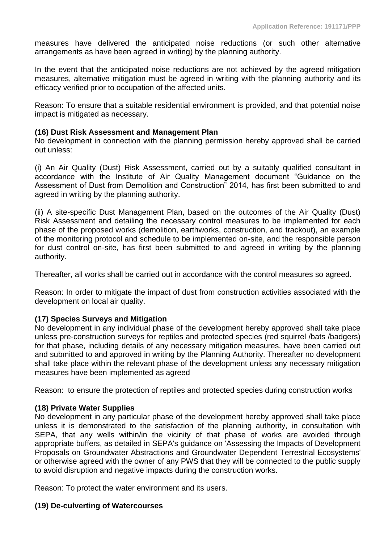measures have delivered the anticipated noise reductions (or such other alternative arrangements as have been agreed in writing) by the planning authority.

In the event that the anticipated noise reductions are not achieved by the agreed mitigation measures, alternative mitigation must be agreed in writing with the planning authority and its efficacy verified prior to occupation of the affected units.

Reason: To ensure that a suitable residential environment is provided, and that potential noise impact is mitigated as necessary.

# **(16) Dust Risk Assessment and Management Plan**

No development in connection with the planning permission hereby approved shall be carried out unless:

(i) An Air Quality (Dust) Risk Assessment, carried out by a suitably qualified consultant in accordance with the Institute of Air Quality Management document "Guidance on the Assessment of Dust from Demolition and Construction" 2014, has first been submitted to and agreed in writing by the planning authority.

(ii) A site-specific Dust Management Plan, based on the outcomes of the Air Quality (Dust) Risk Assessment and detailing the necessary control measures to be implemented for each phase of the proposed works (demolition, earthworks, construction, and trackout), an example of the monitoring protocol and schedule to be implemented on-site, and the responsible person for dust control on-site, has first been submitted to and agreed in writing by the planning authority.

Thereafter, all works shall be carried out in accordance with the control measures so agreed.

Reason: In order to mitigate the impact of dust from construction activities associated with the development on local air quality.

# **(17) Species Surveys and Mitigation**

No development in any individual phase of the development hereby approved shall take place unless pre-construction surveys for reptiles and protected species (red squirrel /bats /badgers) for that phase, including details of any necessary mitigation measures, have been carried out and submitted to and approved in writing by the Planning Authority. Thereafter no development shall take place within the relevant phase of the development unless any necessary mitigation measures have been implemented as agreed

Reason: to ensure the protection of reptiles and protected species during construction works

# **(18) Private Water Supplies**

No development in any particular phase of the development hereby approved shall take place unless it is demonstrated to the satisfaction of the planning authority, in consultation with SEPA, that any wells within/in the vicinity of that phase of works are avoided through appropriate buffers, as detailed in SEPA's guidance on 'Assessing the Impacts of Development Proposals on Groundwater Abstractions and Groundwater Dependent Terrestrial Ecosystems' or otherwise agreed with the owner of any PWS that they will be connected to the public supply to avoid disruption and negative impacts during the construction works.

Reason: To protect the water environment and its users.

# **(19) De-culverting of Watercourses**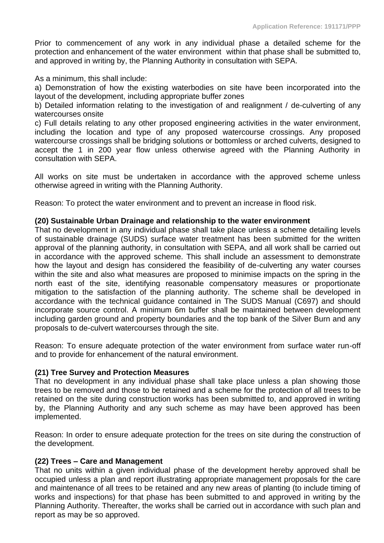Prior to commencement of any work in any individual phase a detailed scheme for the protection and enhancement of the water environment within that phase shall be submitted to, and approved in writing by, the Planning Authority in consultation with SEPA.

As a minimum, this shall include:

a) Demonstration of how the existing waterbodies on site have been incorporated into the layout of the development, including appropriate buffer zones

b) Detailed information relating to the investigation of and realignment / de-culverting of any watercourses onsite

c) Full details relating to any other proposed engineering activities in the water environment, including the location and type of any proposed watercourse crossings. Any proposed watercourse crossings shall be bridging solutions or bottomless or arched culverts, designed to accept the 1 in 200 year flow unless otherwise agreed with the Planning Authority in consultation with SEPA.

All works on site must be undertaken in accordance with the approved scheme unless otherwise agreed in writing with the Planning Authority.

Reason: To protect the water environment and to prevent an increase in flood risk.

### **(20) Sustainable Urban Drainage and relationship to the water environment**

That no development in any individual phase shall take place unless a scheme detailing levels of sustainable drainage (SUDS) surface water treatment has been submitted for the written approval of the planning authority, in consultation with SEPA, and all work shall be carried out in accordance with the approved scheme. This shall include an assessment to demonstrate how the layout and design has considered the feasibility of de-culverting any water courses within the site and also what measures are proposed to minimise impacts on the spring in the north east of the site, identifying reasonable compensatory measures or proportionate mitigation to the satisfaction of the planning authority. The scheme shall be developed in accordance with the technical guidance contained in The SUDS Manual (C697) and should incorporate source control. A minimum 6m buffer shall be maintained between development including garden ground and property boundaries and the top bank of the Silver Burn and any proposals to de-culvert watercourses through the site.

Reason: To ensure adequate protection of the water environment from surface water run-off and to provide for enhancement of the natural environment.

#### **(21) Tree Survey and Protection Measures**

That no development in any individual phase shall take place unless a plan showing those trees to be removed and those to be retained and a scheme for the protection of all trees to be retained on the site during construction works has been submitted to, and approved in writing by, the Planning Authority and any such scheme as may have been approved has been implemented.

Reason: In order to ensure adequate protection for the trees on site during the construction of the development.

#### **(22) Trees – Care and Management**

That no units within a given individual phase of the development hereby approved shall be occupied unless a plan and report illustrating appropriate management proposals for the care and maintenance of all trees to be retained and any new areas of planting (to include timing of works and inspections) for that phase has been submitted to and approved in writing by the Planning Authority. Thereafter, the works shall be carried out in accordance with such plan and report as may be so approved.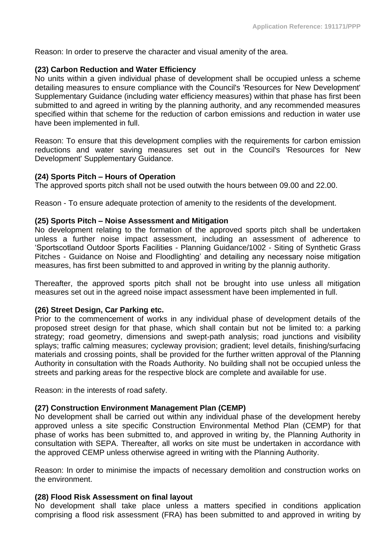Reason: In order to preserve the character and visual amenity of the area.

#### **(23) Carbon Reduction and Water Efficiency**

No units within a given individual phase of development shall be occupied unless a scheme detailing measures to ensure compliance with the Council's 'Resources for New Development' Supplementary Guidance (including water efficiency measures) within that phase has first been submitted to and agreed in writing by the planning authority, and any recommended measures specified within that scheme for the reduction of carbon emissions and reduction in water use have been implemented in full.

Reason: To ensure that this development complies with the requirements for carbon emission reductions and water saving measures set out in the Council's 'Resources for New Development' Supplementary Guidance.

#### **(24) Sports Pitch – Hours of Operation**

The approved sports pitch shall not be used outwith the hours between 09.00 and 22.00.

Reason - To ensure adequate protection of amenity to the residents of the development.

### **(25) Sports Pitch – Noise Assessment and Mitigation**

No development relating to the formation of the approved sports pitch shall be undertaken unless a further noise impact assessment, including an assessment of adherence to 'Sportscotland Outdoor Sports Facilities - Planning Guidance/1002 - Siting of Synthetic Grass Pitches - Guidance on Noise and Floodlighting' and detailing any necessary noise mitigation measures, has first been submitted to and approved in writing by the plannig authority.

Thereafter, the approved sports pitch shall not be brought into use unless all mitigation measures set out in the agreed noise impact assessment have been implemented in full.

# **(26) Street Design, Car Parking etc.**

Prior to the commencement of works in any individual phase of development details of the proposed street design for that phase, which shall contain but not be limited to: a parking strategy; road geometry, dimensions and swept-path analysis; road junctions and visibility splays; traffic calming measures; cycleway provision; gradient; level details, finishing/surfacing materials and crossing points, shall be provided for the further written approval of the Planning Authority in consultation with the Roads Authority. No building shall not be occupied unless the streets and parking areas for the respective block are complete and available for use.

Reason: in the interests of road safety.

# **(27) Construction Environment Management Plan (CEMP)**

No development shall be carried out within any individual phase of the development hereby approved unless a site specific Construction Environmental Method Plan (CEMP) for that phase of works has been submitted to, and approved in writing by, the Planning Authority in consultation with SEPA. Thereafter, all works on site must be undertaken in accordance with the approved CEMP unless otherwise agreed in writing with the Planning Authority.

Reason: In order to minimise the impacts of necessary demolition and construction works on the environment.

# **(28) Flood Risk Assessment on final layout**

No development shall take place unless a matters specified in conditions application comprising a flood risk assessment (FRA) has been submitted to and approved in writing by